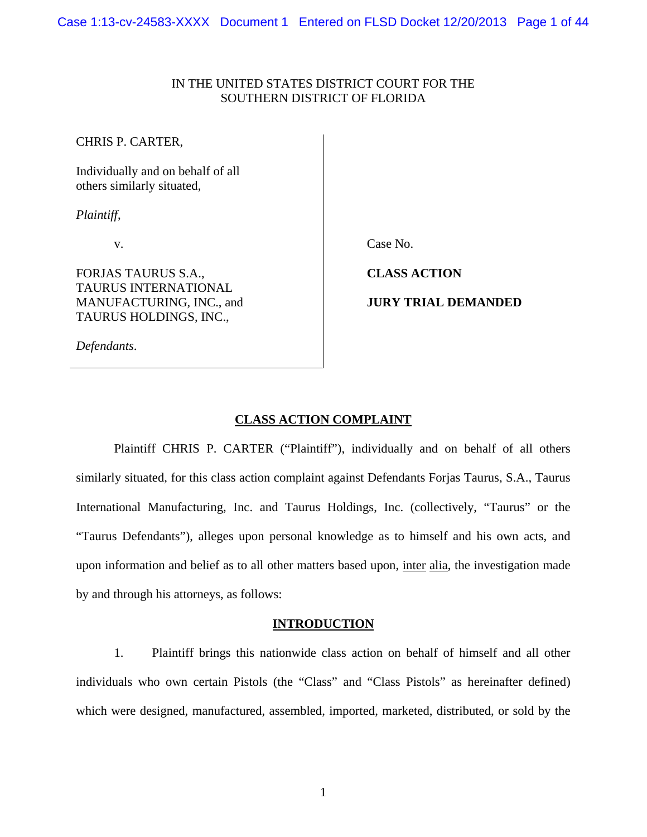### IN THE UNITED STATES DISTRICT COURT FOR THE SOUTHERN DISTRICT OF FLORIDA

CHRIS P. CARTER,

Individually and on behalf of all others similarly situated,

*Plaintiff*,

v.

FORJAS TAURUS S.A., TAURUS INTERNATIONAL MANUFACTURING, INC., and TAURUS HOLDINGS, INC.,

*Defendants*.

Case No.

**CLASS ACTION** 

**JURY TRIAL DEMANDED** 

# **CLASS ACTION COMPLAINT**

Plaintiff CHRIS P. CARTER ("Plaintiff"), individually and on behalf of all others similarly situated, for this class action complaint against Defendants Forjas Taurus, S.A., Taurus International Manufacturing, Inc. and Taurus Holdings, Inc. (collectively, "Taurus" or the "Taurus Defendants"), alleges upon personal knowledge as to himself and his own acts, and upon information and belief as to all other matters based upon, inter alia, the investigation made by and through his attorneys, as follows:

#### **INTRODUCTION**

1. Plaintiff brings this nationwide class action on behalf of himself and all other individuals who own certain Pistols (the "Class" and "Class Pistols" as hereinafter defined) which were designed, manufactured, assembled, imported, marketed, distributed, or sold by the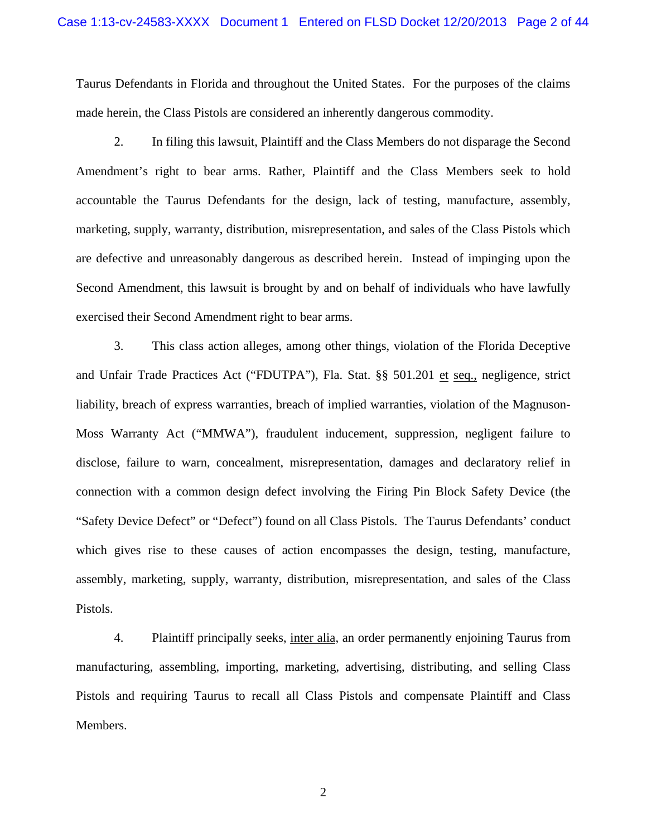Taurus Defendants in Florida and throughout the United States. For the purposes of the claims made herein, the Class Pistols are considered an inherently dangerous commodity.

2. In filing this lawsuit, Plaintiff and the Class Members do not disparage the Second Amendment's right to bear arms. Rather, Plaintiff and the Class Members seek to hold accountable the Taurus Defendants for the design, lack of testing, manufacture, assembly, marketing, supply, warranty, distribution, misrepresentation, and sales of the Class Pistols which are defective and unreasonably dangerous as described herein. Instead of impinging upon the Second Amendment, this lawsuit is brought by and on behalf of individuals who have lawfully exercised their Second Amendment right to bear arms.

3. This class action alleges, among other things, violation of the Florida Deceptive and Unfair Trade Practices Act ("FDUTPA"), Fla. Stat. §§ 501.201 et seq., negligence, strict liability, breach of express warranties, breach of implied warranties, violation of the Magnuson-Moss Warranty Act ("MMWA"), fraudulent inducement, suppression, negligent failure to disclose, failure to warn, concealment, misrepresentation, damages and declaratory relief in connection with a common design defect involving the Firing Pin Block Safety Device (the "Safety Device Defect" or "Defect") found on all Class Pistols. The Taurus Defendants' conduct which gives rise to these causes of action encompasses the design, testing, manufacture, assembly, marketing, supply, warranty, distribution, misrepresentation, and sales of the Class Pistols.

4. Plaintiff principally seeks, inter alia, an order permanently enjoining Taurus from manufacturing, assembling, importing, marketing, advertising, distributing, and selling Class Pistols and requiring Taurus to recall all Class Pistols and compensate Plaintiff and Class Members.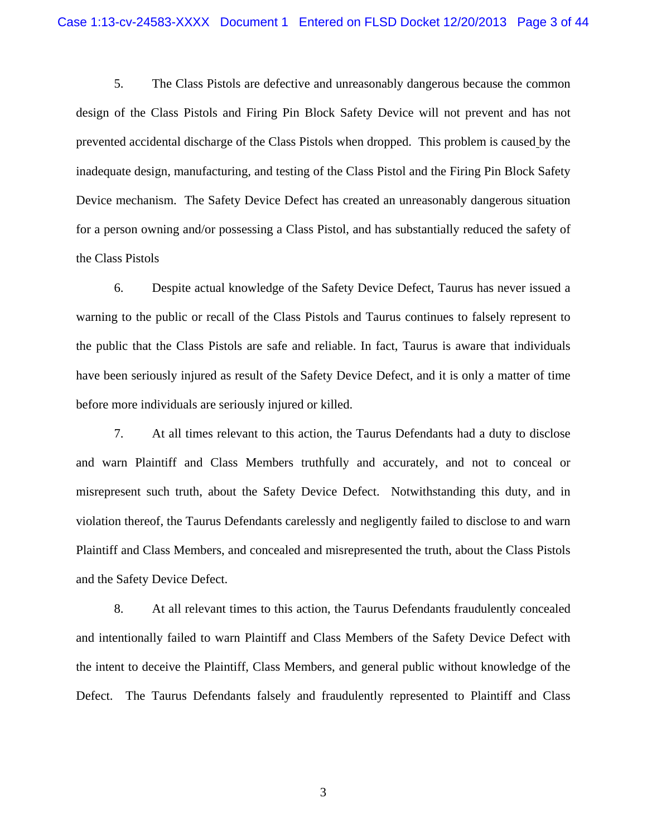5. The Class Pistols are defective and unreasonably dangerous because the common design of the Class Pistols and Firing Pin Block Safety Device will not prevent and has not prevented accidental discharge of the Class Pistols when dropped. This problem is caused by the inadequate design, manufacturing, and testing of the Class Pistol and the Firing Pin Block Safety Device mechanism. The Safety Device Defect has created an unreasonably dangerous situation for a person owning and/or possessing a Class Pistol, and has substantially reduced the safety of the Class Pistols

6. Despite actual knowledge of the Safety Device Defect, Taurus has never issued a warning to the public or recall of the Class Pistols and Taurus continues to falsely represent to the public that the Class Pistols are safe and reliable. In fact, Taurus is aware that individuals have been seriously injured as result of the Safety Device Defect, and it is only a matter of time before more individuals are seriously injured or killed.

7. At all times relevant to this action, the Taurus Defendants had a duty to disclose and warn Plaintiff and Class Members truthfully and accurately, and not to conceal or misrepresent such truth, about the Safety Device Defect. Notwithstanding this duty, and in violation thereof, the Taurus Defendants carelessly and negligently failed to disclose to and warn Plaintiff and Class Members, and concealed and misrepresented the truth, about the Class Pistols and the Safety Device Defect.

8. At all relevant times to this action, the Taurus Defendants fraudulently concealed and intentionally failed to warn Plaintiff and Class Members of the Safety Device Defect with the intent to deceive the Plaintiff, Class Members, and general public without knowledge of the Defect. The Taurus Defendants falsely and fraudulently represented to Plaintiff and Class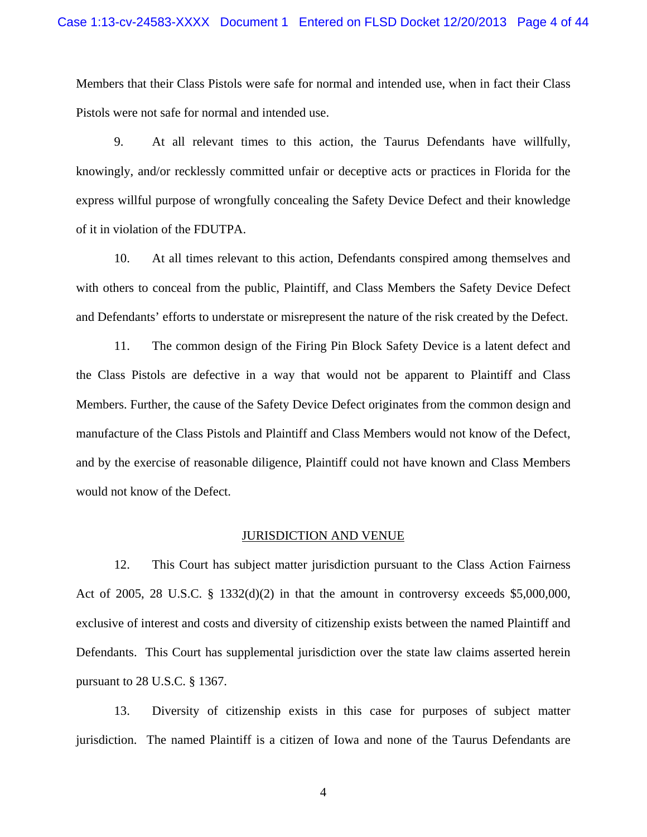Members that their Class Pistols were safe for normal and intended use, when in fact their Class Pistols were not safe for normal and intended use.

9. At all relevant times to this action, the Taurus Defendants have willfully, knowingly, and/or recklessly committed unfair or deceptive acts or practices in Florida for the express willful purpose of wrongfully concealing the Safety Device Defect and their knowledge of it in violation of the FDUTPA.

10. At all times relevant to this action, Defendants conspired among themselves and with others to conceal from the public, Plaintiff, and Class Members the Safety Device Defect and Defendants' efforts to understate or misrepresent the nature of the risk created by the Defect.

11. The common design of the Firing Pin Block Safety Device is a latent defect and the Class Pistols are defective in a way that would not be apparent to Plaintiff and Class Members. Further, the cause of the Safety Device Defect originates from the common design and manufacture of the Class Pistols and Plaintiff and Class Members would not know of the Defect, and by the exercise of reasonable diligence, Plaintiff could not have known and Class Members would not know of the Defect.

#### JURISDICTION AND VENUE

12. This Court has subject matter jurisdiction pursuant to the Class Action Fairness Act of 2005, 28 U.S.C. § 1332(d)(2) in that the amount in controversy exceeds \$5,000,000, exclusive of interest and costs and diversity of citizenship exists between the named Plaintiff and Defendants. This Court has supplemental jurisdiction over the state law claims asserted herein pursuant to 28 U.S.C. § 1367.

13. Diversity of citizenship exists in this case for purposes of subject matter jurisdiction. The named Plaintiff is a citizen of Iowa and none of the Taurus Defendants are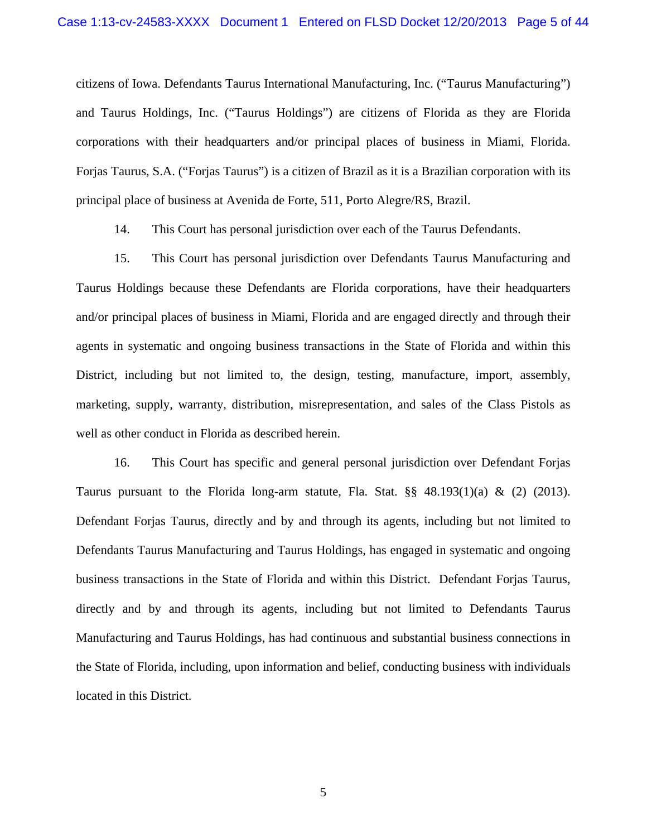citizens of Iowa. Defendants Taurus International Manufacturing, Inc. ("Taurus Manufacturing") and Taurus Holdings, Inc. ("Taurus Holdings") are citizens of Florida as they are Florida corporations with their headquarters and/or principal places of business in Miami, Florida. Forjas Taurus, S.A. ("Forjas Taurus") is a citizen of Brazil as it is a Brazilian corporation with its principal place of business at Avenida de Forte, 511, Porto Alegre/RS, Brazil.

14. This Court has personal jurisdiction over each of the Taurus Defendants.

15. This Court has personal jurisdiction over Defendants Taurus Manufacturing and Taurus Holdings because these Defendants are Florida corporations, have their headquarters and/or principal places of business in Miami, Florida and are engaged directly and through their agents in systematic and ongoing business transactions in the State of Florida and within this District, including but not limited to, the design, testing, manufacture, import, assembly, marketing, supply, warranty, distribution, misrepresentation, and sales of the Class Pistols as well as other conduct in Florida as described herein.

16. This Court has specific and general personal jurisdiction over Defendant Forjas Taurus pursuant to the Florida long-arm statute, Fla. Stat.  $\S\S$  48.193(1)(a) & (2) (2013). Defendant Forjas Taurus, directly and by and through its agents, including but not limited to Defendants Taurus Manufacturing and Taurus Holdings, has engaged in systematic and ongoing business transactions in the State of Florida and within this District. Defendant Forjas Taurus, directly and by and through its agents, including but not limited to Defendants Taurus Manufacturing and Taurus Holdings, has had continuous and substantial business connections in the State of Florida, including, upon information and belief, conducting business with individuals located in this District.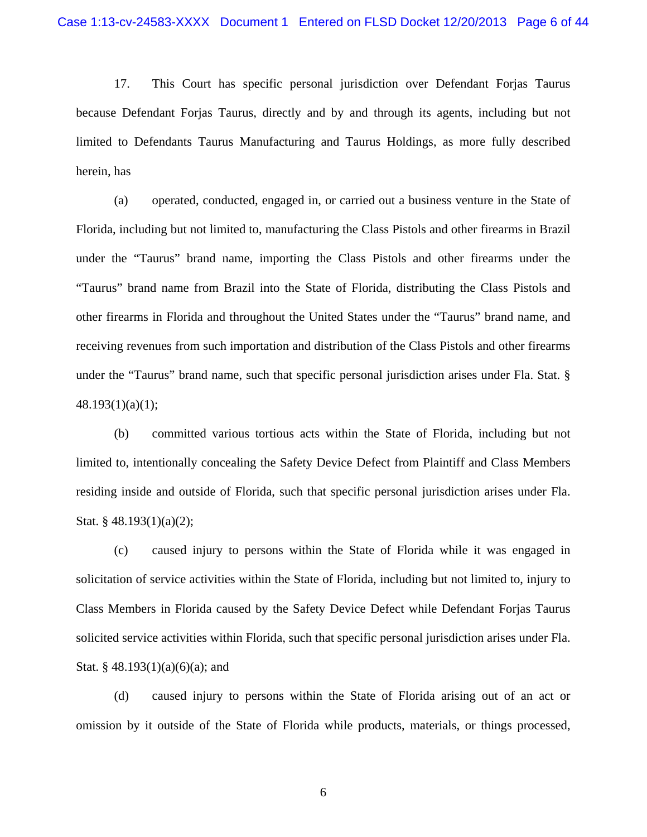17. This Court has specific personal jurisdiction over Defendant Forjas Taurus because Defendant Forjas Taurus, directly and by and through its agents, including but not limited to Defendants Taurus Manufacturing and Taurus Holdings, as more fully described herein, has

(a) operated, conducted, engaged in, or carried out a business venture in the State of Florida, including but not limited to, manufacturing the Class Pistols and other firearms in Brazil under the "Taurus" brand name, importing the Class Pistols and other firearms under the "Taurus" brand name from Brazil into the State of Florida, distributing the Class Pistols and other firearms in Florida and throughout the United States under the "Taurus" brand name, and receiving revenues from such importation and distribution of the Class Pistols and other firearms under the "Taurus" brand name, such that specific personal jurisdiction arises under Fla. Stat. § 48.193(1)(a)(1);

(b) committed various tortious acts within the State of Florida, including but not limited to, intentionally concealing the Safety Device Defect from Plaintiff and Class Members residing inside and outside of Florida, such that specific personal jurisdiction arises under Fla. Stat. § 48.193(1)(a)(2);

(c) caused injury to persons within the State of Florida while it was engaged in solicitation of service activities within the State of Florida, including but not limited to, injury to Class Members in Florida caused by the Safety Device Defect while Defendant Forjas Taurus solicited service activities within Florida, such that specific personal jurisdiction arises under Fla. Stat. § 48.193 $(1)(a)(6)(a)$ ; and

(d) caused injury to persons within the State of Florida arising out of an act or omission by it outside of the State of Florida while products, materials, or things processed,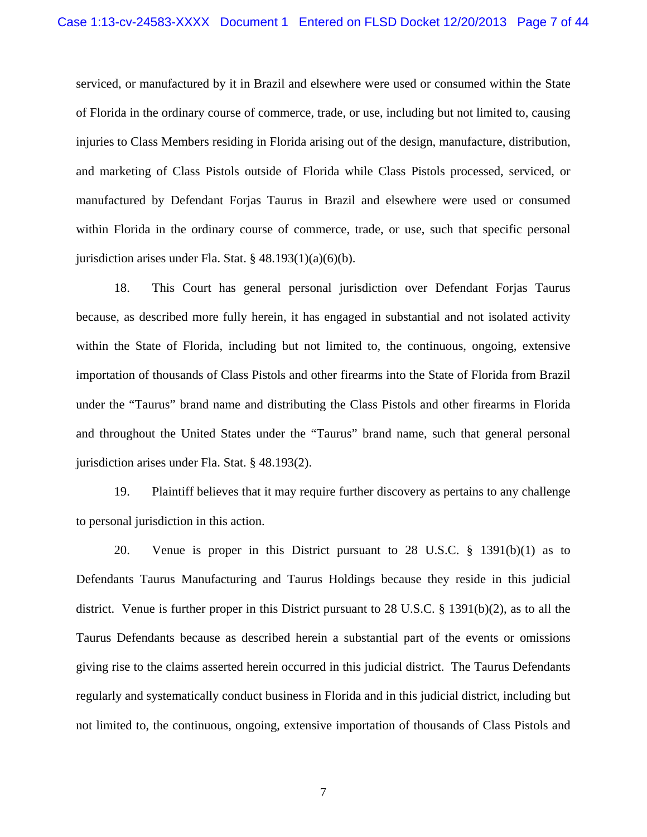serviced, or manufactured by it in Brazil and elsewhere were used or consumed within the State of Florida in the ordinary course of commerce, trade, or use, including but not limited to, causing injuries to Class Members residing in Florida arising out of the design, manufacture, distribution, and marketing of Class Pistols outside of Florida while Class Pistols processed, serviced, or manufactured by Defendant Forjas Taurus in Brazil and elsewhere were used or consumed within Florida in the ordinary course of commerce, trade, or use, such that specific personal jurisdiction arises under Fla. Stat.  $\S$  48.193(1)(a)(6)(b).

18. This Court has general personal jurisdiction over Defendant Forjas Taurus because, as described more fully herein, it has engaged in substantial and not isolated activity within the State of Florida, including but not limited to, the continuous, ongoing, extensive importation of thousands of Class Pistols and other firearms into the State of Florida from Brazil under the "Taurus" brand name and distributing the Class Pistols and other firearms in Florida and throughout the United States under the "Taurus" brand name, such that general personal jurisdiction arises under Fla. Stat. § 48.193(2).

19. Plaintiff believes that it may require further discovery as pertains to any challenge to personal jurisdiction in this action.

20. Venue is proper in this District pursuant to 28 U.S.C. § 1391(b)(1) as to Defendants Taurus Manufacturing and Taurus Holdings because they reside in this judicial district. Venue is further proper in this District pursuant to 28 U.S.C. § 1391(b)(2), as to all the Taurus Defendants because as described herein a substantial part of the events or omissions giving rise to the claims asserted herein occurred in this judicial district. The Taurus Defendants regularly and systematically conduct business in Florida and in this judicial district, including but not limited to, the continuous, ongoing, extensive importation of thousands of Class Pistols and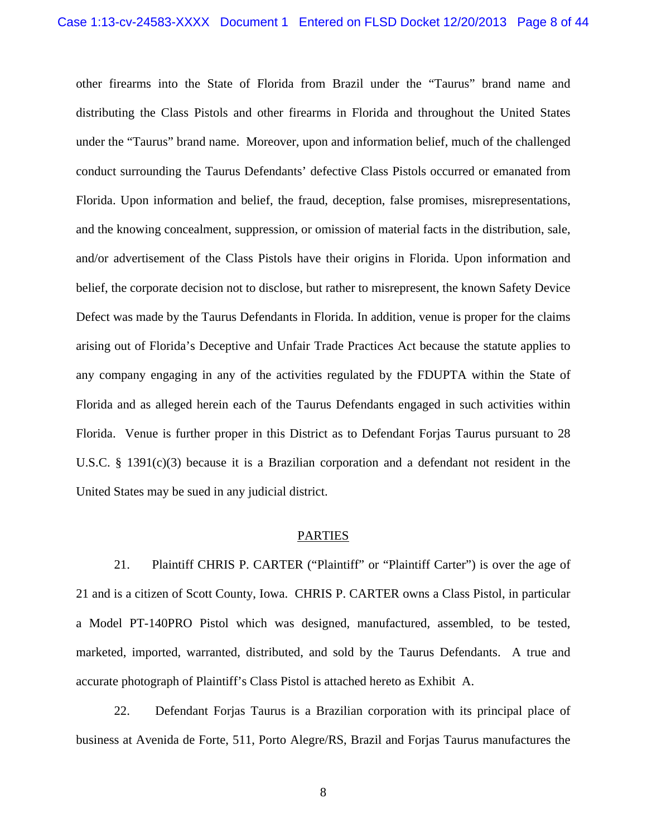other firearms into the State of Florida from Brazil under the "Taurus" brand name and distributing the Class Pistols and other firearms in Florida and throughout the United States under the "Taurus" brand name. Moreover, upon and information belief, much of the challenged conduct surrounding the Taurus Defendants' defective Class Pistols occurred or emanated from Florida. Upon information and belief, the fraud, deception, false promises, misrepresentations, and the knowing concealment, suppression, or omission of material facts in the distribution, sale, and/or advertisement of the Class Pistols have their origins in Florida. Upon information and belief, the corporate decision not to disclose, but rather to misrepresent, the known Safety Device Defect was made by the Taurus Defendants in Florida. In addition, venue is proper for the claims arising out of Florida's Deceptive and Unfair Trade Practices Act because the statute applies to any company engaging in any of the activities regulated by the FDUPTA within the State of Florida and as alleged herein each of the Taurus Defendants engaged in such activities within Florida. Venue is further proper in this District as to Defendant Forjas Taurus pursuant to 28 U.S.C. § 1391(c)(3) because it is a Brazilian corporation and a defendant not resident in the United States may be sued in any judicial district.

#### PARTIES

21. Plaintiff CHRIS P. CARTER ("Plaintiff" or "Plaintiff Carter") is over the age of 21 and is a citizen of Scott County, Iowa. CHRIS P. CARTER owns a Class Pistol, in particular a Model PT-140PRO Pistol which was designed, manufactured, assembled, to be tested, marketed, imported, warranted, distributed, and sold by the Taurus Defendants. A true and accurate photograph of Plaintiff's Class Pistol is attached hereto as Exhibit A.

22. Defendant Forjas Taurus is a Brazilian corporation with its principal place of business at Avenida de Forte, 511, Porto Alegre/RS, Brazil and Forjas Taurus manufactures the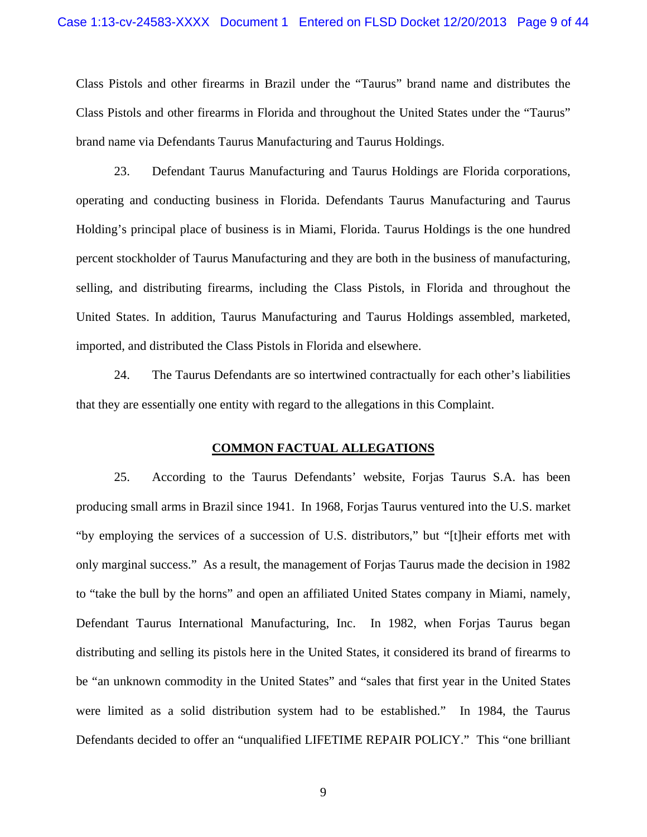Class Pistols and other firearms in Brazil under the "Taurus" brand name and distributes the Class Pistols and other firearms in Florida and throughout the United States under the "Taurus" brand name via Defendants Taurus Manufacturing and Taurus Holdings.

23. Defendant Taurus Manufacturing and Taurus Holdings are Florida corporations, operating and conducting business in Florida. Defendants Taurus Manufacturing and Taurus Holding's principal place of business is in Miami, Florida. Taurus Holdings is the one hundred percent stockholder of Taurus Manufacturing and they are both in the business of manufacturing, selling, and distributing firearms, including the Class Pistols, in Florida and throughout the United States. In addition, Taurus Manufacturing and Taurus Holdings assembled, marketed, imported, and distributed the Class Pistols in Florida and elsewhere.

24. The Taurus Defendants are so intertwined contractually for each other's liabilities that they are essentially one entity with regard to the allegations in this Complaint.

#### **COMMON FACTUAL ALLEGATIONS**

25. According to the Taurus Defendants' website, Forjas Taurus S.A. has been producing small arms in Brazil since 1941. In 1968, Forjas Taurus ventured into the U.S. market "by employing the services of a succession of U.S. distributors," but "[t]heir efforts met with only marginal success." As a result, the management of Forjas Taurus made the decision in 1982 to "take the bull by the horns" and open an affiliated United States company in Miami, namely, Defendant Taurus International Manufacturing, Inc. In 1982, when Forjas Taurus began distributing and selling its pistols here in the United States, it considered its brand of firearms to be "an unknown commodity in the United States" and "sales that first year in the United States were limited as a solid distribution system had to be established." In 1984, the Taurus Defendants decided to offer an "unqualified LIFETIME REPAIR POLICY." This "one brilliant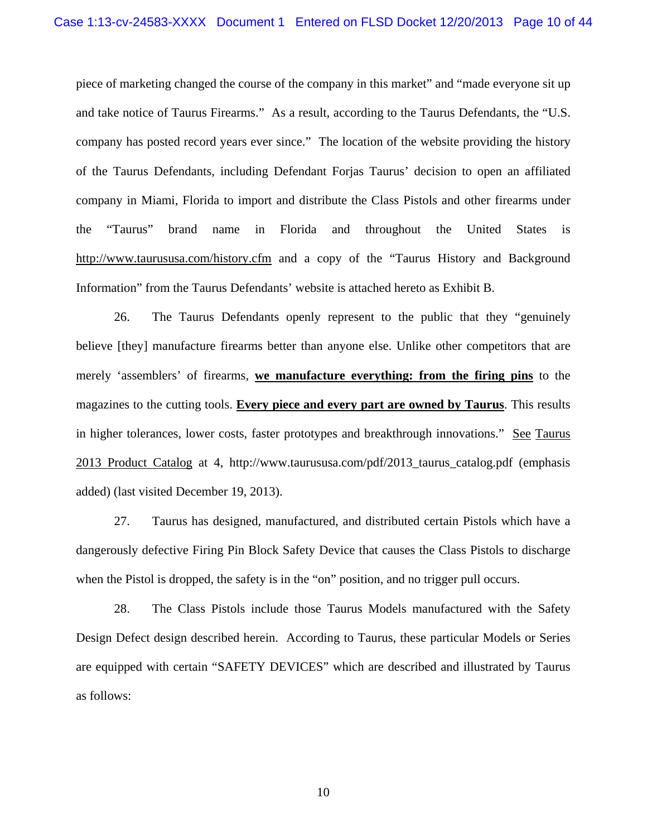piece of marketing changed the course of the company in this market" and "made everyone sit up and take notice of Taurus Firearms." As a result, according to the Taurus Defendants, the "U.S. company has posted record years ever since." The location of the website providing the history of the Taurus Defendants, including Defendant Forjas Taurus' decision to open an affiliated company in Miami, Florida to import and distribute the Class Pistols and other firearms under the "Taurus" brand name in Florida and throughout the United States is http://www.taurususa.com/history.cfm and a copy of the "Taurus History and Background Information" from the Taurus Defendants' website is attached hereto as Exhibit B.

26. The Taurus Defendants openly represent to the public that they "genuinely believe [they] manufacture firearms better than anyone else. Unlike other competitors that are merely 'assemblers' of firearms, **we manufacture everything: from the firing pins** to the magazines to the cutting tools. **Every piece and every part are owned by Taurus**. This results in higher tolerances, lower costs, faster prototypes and breakthrough innovations." See Taurus 2013 Product Catalog at 4, http://www.taurususa.com/pdf/2013\_taurus\_catalog.pdf (emphasis added) (last visited December 19, 2013).

27. Taurus has designed, manufactured, and distributed certain Pistols which have a dangerously defective Firing Pin Block Safety Device that causes the Class Pistols to discharge when the Pistol is dropped, the safety is in the "on" position, and no trigger pull occurs.

28. The Class Pistols include those Taurus Models manufactured with the Safety Design Defect design described herein. According to Taurus, these particular Models or Series are equipped with certain "SAFETY DEVICES" which are described and illustrated by Taurus as follows: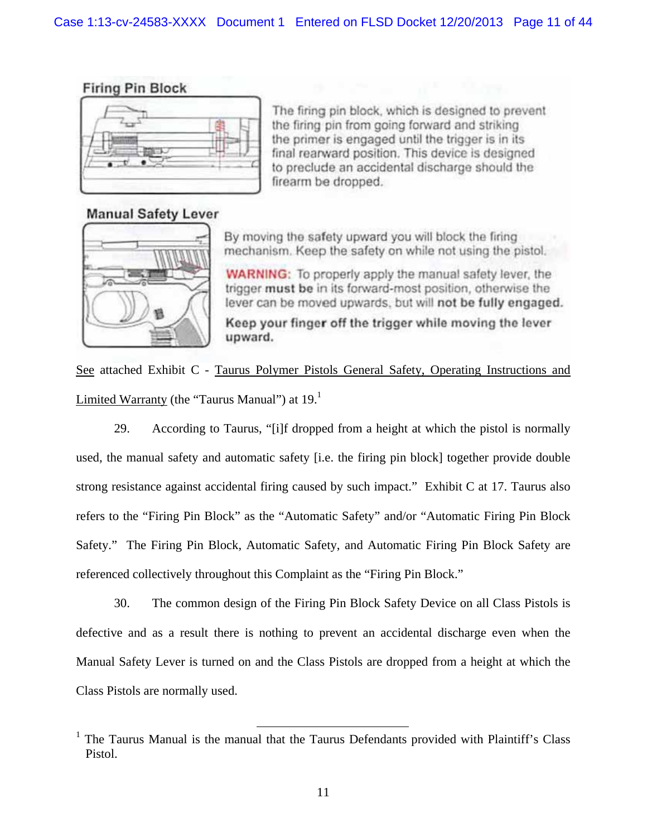# **Firing Pin Block**



The firing pin block, which is designed to prevent the firing pin from going forward and striking the primer is engaged until the trigger is in its final rearward position. This device is designed to preclude an accidental discharge should the firearm be dropped.

# **Manual Safety Lever**



By moving the safety upward you will block the firing mechanism. Keep the safety on while not using the pistol.

**WARNING:** To properly apply the manual safety lever, the trigger must be in its forward-most position, otherwise the lever can be moved upwards, but will not be fully engaged.

Keep your finger off the trigger while moving the lever upward.

See attached Exhibit C - Taurus Polymer Pistols General Safety, Operating Instructions and Limited Warranty (the "Taurus Manual") at  $19<sup>1</sup>$ 

29. According to Taurus, "[i]f dropped from a height at which the pistol is normally used, the manual safety and automatic safety [i.e. the firing pin block] together provide double strong resistance against accidental firing caused by such impact." Exhibit C at 17. Taurus also refers to the "Firing Pin Block" as the "Automatic Safety" and/or "Automatic Firing Pin Block Safety." The Firing Pin Block, Automatic Safety, and Automatic Firing Pin Block Safety are referenced collectively throughout this Complaint as the "Firing Pin Block."

30. The common design of the Firing Pin Block Safety Device on all Class Pistols is defective and as a result there is nothing to prevent an accidental discharge even when the Manual Safety Lever is turned on and the Class Pistols are dropped from a height at which the Class Pistols are normally used.

<sup>&</sup>lt;sup>1</sup> The Taurus Manual is the manual that the Taurus Defendants provided with Plaintiff's Class Pistol.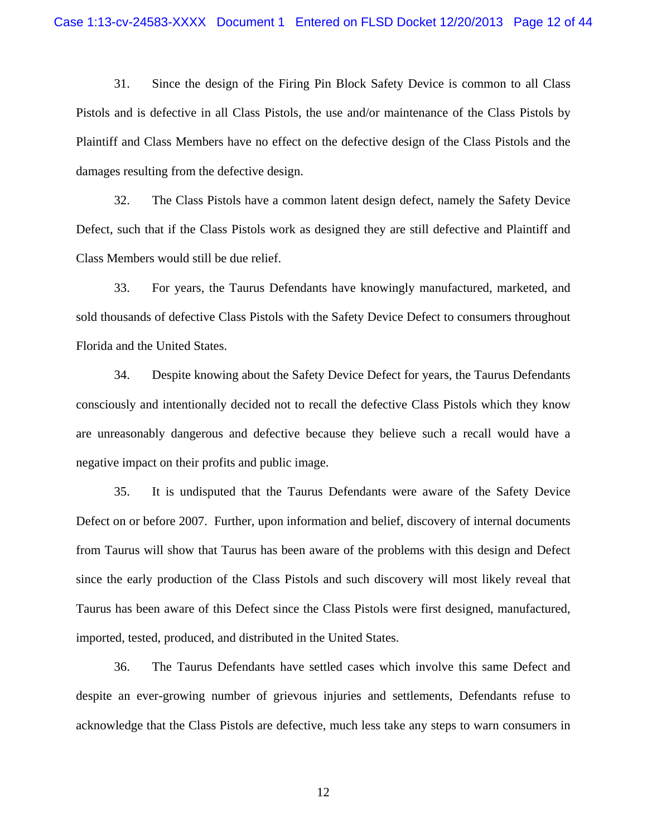31. Since the design of the Firing Pin Block Safety Device is common to all Class Pistols and is defective in all Class Pistols, the use and/or maintenance of the Class Pistols by Plaintiff and Class Members have no effect on the defective design of the Class Pistols and the damages resulting from the defective design.

32. The Class Pistols have a common latent design defect, namely the Safety Device Defect, such that if the Class Pistols work as designed they are still defective and Plaintiff and Class Members would still be due relief.

33. For years, the Taurus Defendants have knowingly manufactured, marketed, and sold thousands of defective Class Pistols with the Safety Device Defect to consumers throughout Florida and the United States.

34. Despite knowing about the Safety Device Defect for years, the Taurus Defendants consciously and intentionally decided not to recall the defective Class Pistols which they know are unreasonably dangerous and defective because they believe such a recall would have a negative impact on their profits and public image.

35. It is undisputed that the Taurus Defendants were aware of the Safety Device Defect on or before 2007. Further, upon information and belief, discovery of internal documents from Taurus will show that Taurus has been aware of the problems with this design and Defect since the early production of the Class Pistols and such discovery will most likely reveal that Taurus has been aware of this Defect since the Class Pistols were first designed, manufactured, imported, tested, produced, and distributed in the United States.

36. The Taurus Defendants have settled cases which involve this same Defect and despite an ever-growing number of grievous injuries and settlements, Defendants refuse to acknowledge that the Class Pistols are defective, much less take any steps to warn consumers in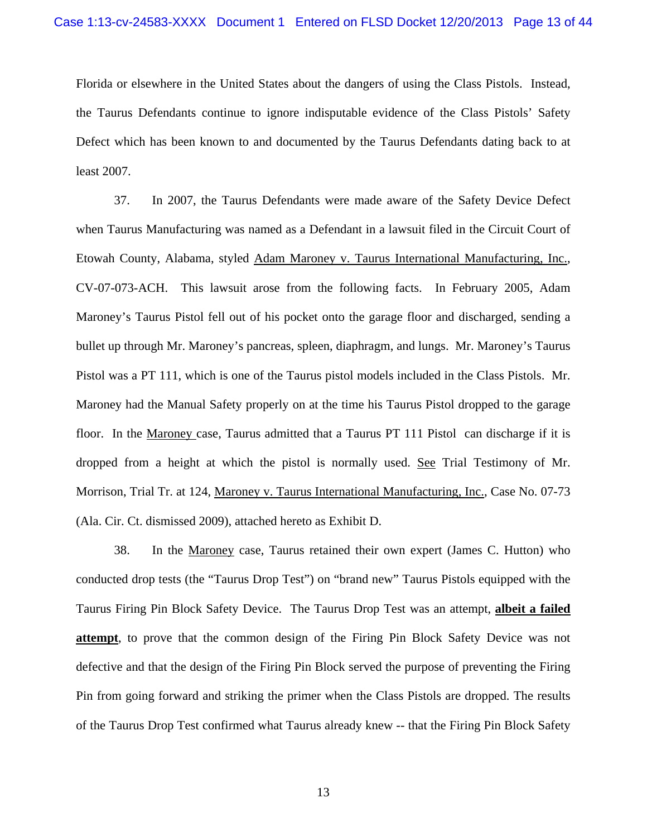Florida or elsewhere in the United States about the dangers of using the Class Pistols. Instead, the Taurus Defendants continue to ignore indisputable evidence of the Class Pistols' Safety Defect which has been known to and documented by the Taurus Defendants dating back to at least 2007.

37. In 2007, the Taurus Defendants were made aware of the Safety Device Defect when Taurus Manufacturing was named as a Defendant in a lawsuit filed in the Circuit Court of Etowah County, Alabama, styled Adam Maroney v. Taurus International Manufacturing, Inc., CV-07-073-ACH. This lawsuit arose from the following facts. In February 2005, Adam Maroney's Taurus Pistol fell out of his pocket onto the garage floor and discharged, sending a bullet up through Mr. Maroney's pancreas, spleen, diaphragm, and lungs. Mr. Maroney's Taurus Pistol was a PT 111, which is one of the Taurus pistol models included in the Class Pistols. Mr. Maroney had the Manual Safety properly on at the time his Taurus Pistol dropped to the garage floor. In the Maroney case, Taurus admitted that a Taurus PT 111 Pistol can discharge if it is dropped from a height at which the pistol is normally used. See Trial Testimony of Mr. Morrison, Trial Tr. at 124, Maroney v. Taurus International Manufacturing, Inc., Case No. 07-73 (Ala. Cir. Ct. dismissed 2009), attached hereto as Exhibit D.

38. In the Maroney case, Taurus retained their own expert (James C. Hutton) who conducted drop tests (the "Taurus Drop Test") on "brand new" Taurus Pistols equipped with the Taurus Firing Pin Block Safety Device. The Taurus Drop Test was an attempt, **albeit a failed attempt**, to prove that the common design of the Firing Pin Block Safety Device was not defective and that the design of the Firing Pin Block served the purpose of preventing the Firing Pin from going forward and striking the primer when the Class Pistols are dropped. The results of the Taurus Drop Test confirmed what Taurus already knew -- that the Firing Pin Block Safety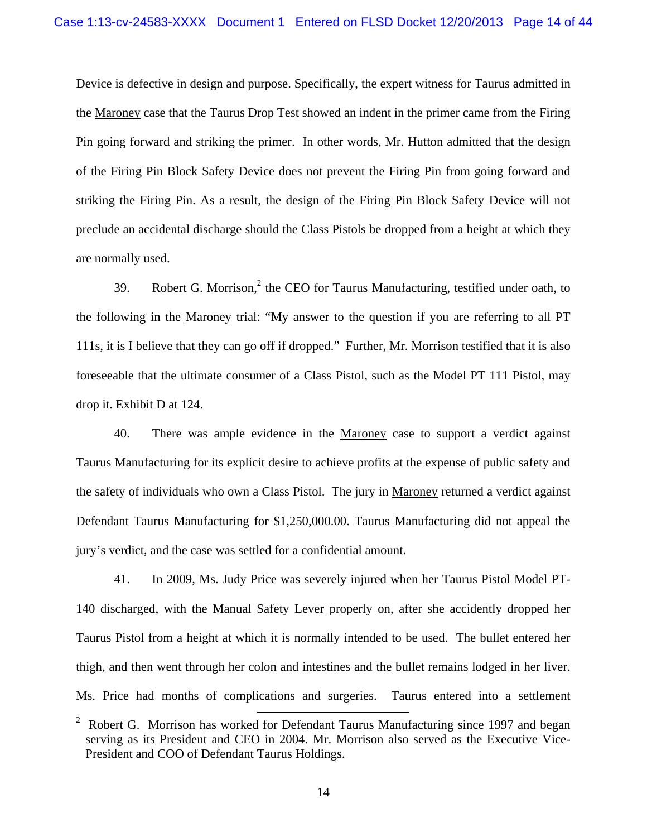Device is defective in design and purpose. Specifically, the expert witness for Taurus admitted in the Maroney case that the Taurus Drop Test showed an indent in the primer came from the Firing Pin going forward and striking the primer. In other words, Mr. Hutton admitted that the design of the Firing Pin Block Safety Device does not prevent the Firing Pin from going forward and striking the Firing Pin. As a result, the design of the Firing Pin Block Safety Device will not preclude an accidental discharge should the Class Pistols be dropped from a height at which they are normally used.

39. Robert G. Morrison, $2$  the CEO for Taurus Manufacturing, testified under oath, to the following in the Maroney trial: "My answer to the question if you are referring to all PT 111s, it is I believe that they can go off if dropped." Further, Mr. Morrison testified that it is also foreseeable that the ultimate consumer of a Class Pistol, such as the Model PT 111 Pistol, may drop it. Exhibit D at 124.

40. There was ample evidence in the Maroney case to support a verdict against Taurus Manufacturing for its explicit desire to achieve profits at the expense of public safety and the safety of individuals who own a Class Pistol. The jury in Maroney returned a verdict against Defendant Taurus Manufacturing for \$1,250,000.00. Taurus Manufacturing did not appeal the jury's verdict, and the case was settled for a confidential amount.

41. In 2009, Ms. Judy Price was severely injured when her Taurus Pistol Model PT-140 discharged, with the Manual Safety Lever properly on, after she accidently dropped her Taurus Pistol from a height at which it is normally intended to be used. The bullet entered her thigh, and then went through her colon and intestines and the bullet remains lodged in her liver. Ms. Price had months of complications and surgeries. Taurus entered into a settlement

<sup>&</sup>lt;sup>2</sup> Robert G. Morrison has worked for Defendant Taurus Manufacturing since 1997 and began serving as its President and CEO in 2004. Mr. Morrison also served as the Executive Vice-President and COO of Defendant Taurus Holdings.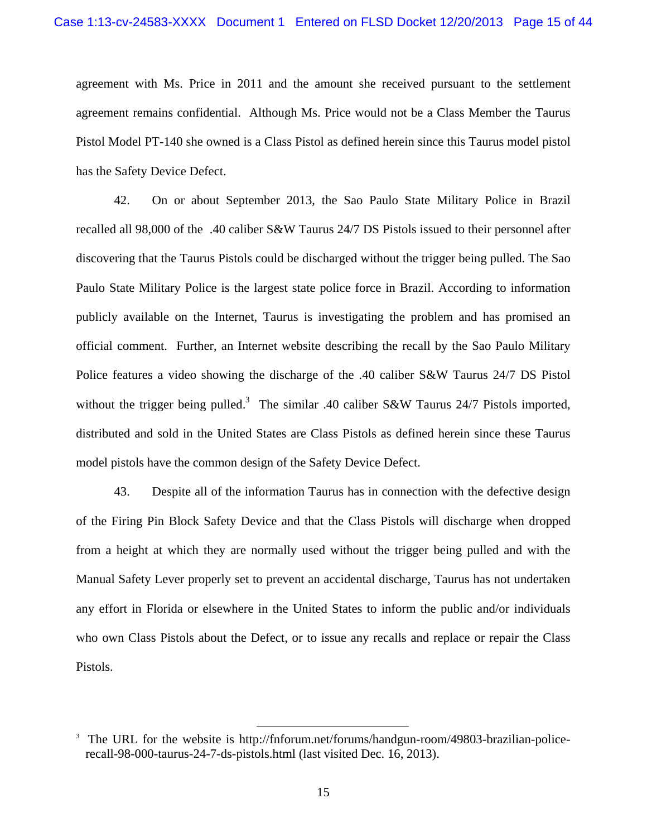agreement with Ms. Price in 2011 and the amount she received pursuant to the settlement agreement remains confidential. Although Ms. Price would not be a Class Member the Taurus Pistol Model PT-140 she owned is a Class Pistol as defined herein since this Taurus model pistol has the Safety Device Defect.

42. On or about September 2013, the Sao Paulo State Military Police in Brazil recalled all 98,000 of the .40 caliber S&W Taurus 24/7 DS Pistols issued to their personnel after discovering that the Taurus Pistols could be discharged without the trigger being pulled. The Sao Paulo State Military Police is the largest state police force in Brazil. According to information publicly available on the Internet, Taurus is investigating the problem and has promised an official comment. Further, an Internet website describing the recall by the Sao Paulo Military Police features a video showing the discharge of the .40 caliber S&W Taurus 24/7 DS Pistol without the trigger being pulled.<sup>3</sup> The similar .40 caliber S&W Taurus 24/7 Pistols imported, distributed and sold in the United States are Class Pistols as defined herein since these Taurus model pistols have the common design of the Safety Device Defect.

43. Despite all of the information Taurus has in connection with the defective design of the Firing Pin Block Safety Device and that the Class Pistols will discharge when dropped from a height at which they are normally used without the trigger being pulled and with the Manual Safety Lever properly set to prevent an accidental discharge, Taurus has not undertaken any effort in Florida or elsewhere in the United States to inform the public and/or individuals who own Class Pistols about the Defect, or to issue any recalls and replace or repair the Class Pistols.

<sup>&</sup>lt;sup>3</sup> The URL for the website is http://fnforum.net/forums/handgun-room/49803-brazilian-policerecall-98-000-taurus-24-7-ds-pistols.html (last visited Dec. 16, 2013).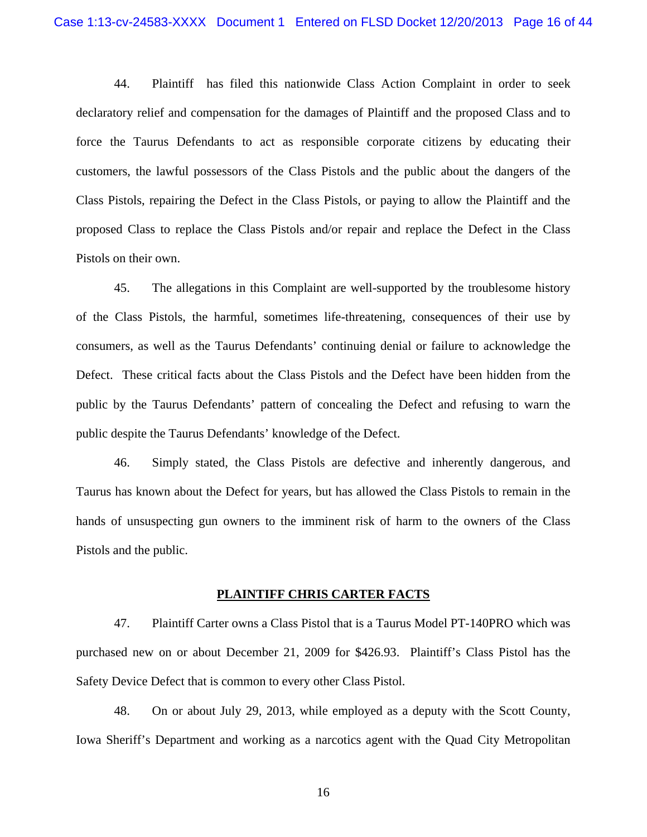44. Plaintiff has filed this nationwide Class Action Complaint in order to seek declaratory relief and compensation for the damages of Plaintiff and the proposed Class and to force the Taurus Defendants to act as responsible corporate citizens by educating their customers, the lawful possessors of the Class Pistols and the public about the dangers of the Class Pistols, repairing the Defect in the Class Pistols, or paying to allow the Plaintiff and the proposed Class to replace the Class Pistols and/or repair and replace the Defect in the Class Pistols on their own.

45. The allegations in this Complaint are well-supported by the troublesome history of the Class Pistols, the harmful, sometimes life-threatening, consequences of their use by consumers, as well as the Taurus Defendants' continuing denial or failure to acknowledge the Defect. These critical facts about the Class Pistols and the Defect have been hidden from the public by the Taurus Defendants' pattern of concealing the Defect and refusing to warn the public despite the Taurus Defendants' knowledge of the Defect.

46. Simply stated, the Class Pistols are defective and inherently dangerous, and Taurus has known about the Defect for years, but has allowed the Class Pistols to remain in the hands of unsuspecting gun owners to the imminent risk of harm to the owners of the Class Pistols and the public.

#### **PLAINTIFF CHRIS CARTER FACTS**

47. Plaintiff Carter owns a Class Pistol that is a Taurus Model PT-140PRO which was purchased new on or about December 21, 2009 for \$426.93. Plaintiff's Class Pistol has the Safety Device Defect that is common to every other Class Pistol.

48. On or about July 29, 2013, while employed as a deputy with the Scott County, Iowa Sheriff's Department and working as a narcotics agent with the Quad City Metropolitan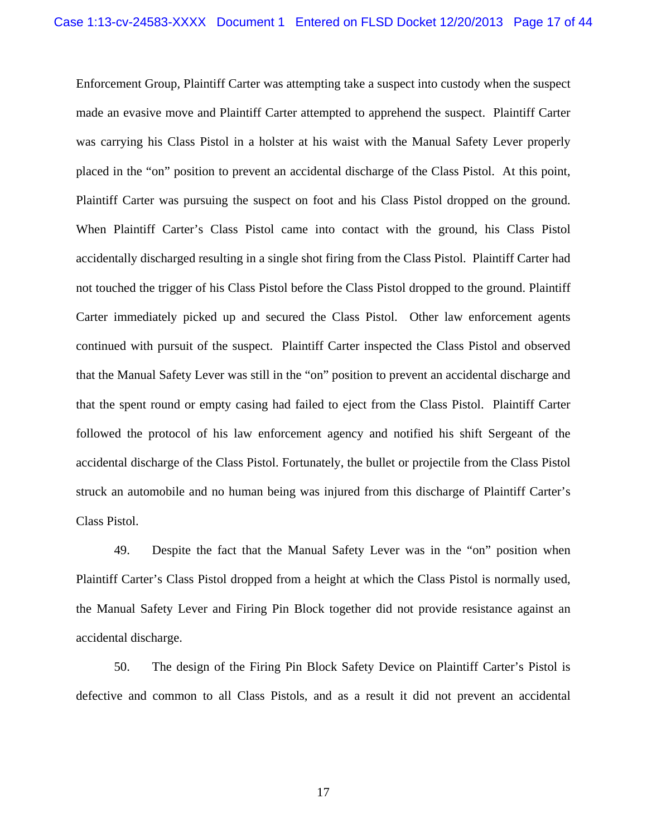Enforcement Group, Plaintiff Carter was attempting take a suspect into custody when the suspect made an evasive move and Plaintiff Carter attempted to apprehend the suspect. Plaintiff Carter was carrying his Class Pistol in a holster at his waist with the Manual Safety Lever properly placed in the "on" position to prevent an accidental discharge of the Class Pistol. At this point, Plaintiff Carter was pursuing the suspect on foot and his Class Pistol dropped on the ground. When Plaintiff Carter's Class Pistol came into contact with the ground, his Class Pistol accidentally discharged resulting in a single shot firing from the Class Pistol. Plaintiff Carter had not touched the trigger of his Class Pistol before the Class Pistol dropped to the ground. Plaintiff Carter immediately picked up and secured the Class Pistol. Other law enforcement agents continued with pursuit of the suspect. Plaintiff Carter inspected the Class Pistol and observed that the Manual Safety Lever was still in the "on" position to prevent an accidental discharge and that the spent round or empty casing had failed to eject from the Class Pistol. Plaintiff Carter followed the protocol of his law enforcement agency and notified his shift Sergeant of the accidental discharge of the Class Pistol. Fortunately, the bullet or projectile from the Class Pistol struck an automobile and no human being was injured from this discharge of Plaintiff Carter's Class Pistol.

49. Despite the fact that the Manual Safety Lever was in the "on" position when Plaintiff Carter's Class Pistol dropped from a height at which the Class Pistol is normally used, the Manual Safety Lever and Firing Pin Block together did not provide resistance against an accidental discharge.

50. The design of the Firing Pin Block Safety Device on Plaintiff Carter's Pistol is defective and common to all Class Pistols, and as a result it did not prevent an accidental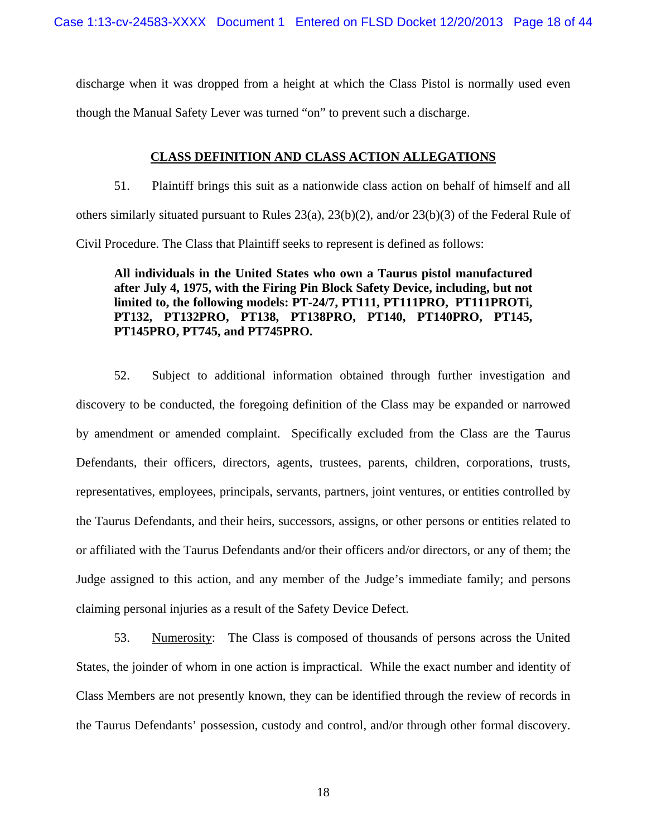discharge when it was dropped from a height at which the Class Pistol is normally used even though the Manual Safety Lever was turned "on" to prevent such a discharge.

# **CLASS DEFINITION AND CLASS ACTION ALLEGATIONS**

51. Plaintiff brings this suit as a nationwide class action on behalf of himself and all others similarly situated pursuant to Rules 23(a), 23(b)(2), and/or 23(b)(3) of the Federal Rule of Civil Procedure. The Class that Plaintiff seeks to represent is defined as follows:

**All individuals in the United States who own a Taurus pistol manufactured after July 4, 1975, with the Firing Pin Block Safety Device, including, but not limited to, the following models: PT-24/7, PT111, PT111PRO, PT111PROTi, PT132, PT132PRO, PT138, PT138PRO, PT140, PT140PRO, PT145, PT145PRO, PT745, and PT745PRO.** 

52. Subject to additional information obtained through further investigation and discovery to be conducted, the foregoing definition of the Class may be expanded or narrowed by amendment or amended complaint. Specifically excluded from the Class are the Taurus Defendants, their officers, directors, agents, trustees, parents, children, corporations, trusts, representatives, employees, principals, servants, partners, joint ventures, or entities controlled by the Taurus Defendants, and their heirs, successors, assigns, or other persons or entities related to or affiliated with the Taurus Defendants and/or their officers and/or directors, or any of them; the Judge assigned to this action, and any member of the Judge's immediate family; and persons claiming personal injuries as a result of the Safety Device Defect.

53. Numerosity: The Class is composed of thousands of persons across the United States, the joinder of whom in one action is impractical. While the exact number and identity of Class Members are not presently known, they can be identified through the review of records in the Taurus Defendants' possession, custody and control, and/or through other formal discovery.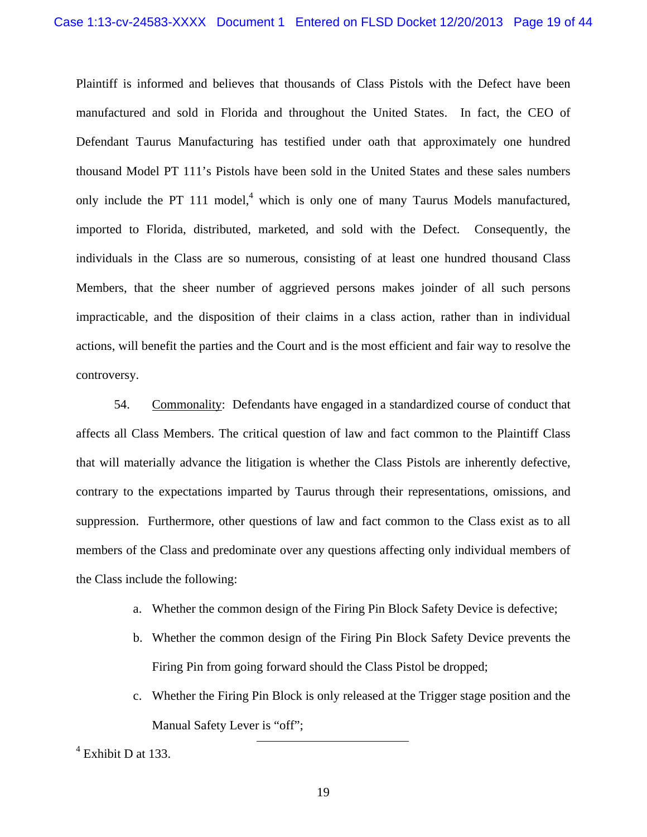Plaintiff is informed and believes that thousands of Class Pistols with the Defect have been manufactured and sold in Florida and throughout the United States. In fact, the CEO of Defendant Taurus Manufacturing has testified under oath that approximately one hundred thousand Model PT 111's Pistols have been sold in the United States and these sales numbers only include the PT 111 model, $4$  which is only one of many Taurus Models manufactured, imported to Florida, distributed, marketed, and sold with the Defect. Consequently, the individuals in the Class are so numerous, consisting of at least one hundred thousand Class Members, that the sheer number of aggrieved persons makes joinder of all such persons impracticable, and the disposition of their claims in a class action, rather than in individual actions, will benefit the parties and the Court and is the most efficient and fair way to resolve the controversy.

54. Commonality: Defendants have engaged in a standardized course of conduct that affects all Class Members. The critical question of law and fact common to the Plaintiff Class that will materially advance the litigation is whether the Class Pistols are inherently defective, contrary to the expectations imparted by Taurus through their representations, omissions, and suppression. Furthermore, other questions of law and fact common to the Class exist as to all members of the Class and predominate over any questions affecting only individual members of the Class include the following:

- a. Whether the common design of the Firing Pin Block Safety Device is defective;
- b. Whether the common design of the Firing Pin Block Safety Device prevents the Firing Pin from going forward should the Class Pistol be dropped;
- c. Whether the Firing Pin Block is only released at the Trigger stage position and the Manual Safety Lever is "off";

4 Exhibit D at 133.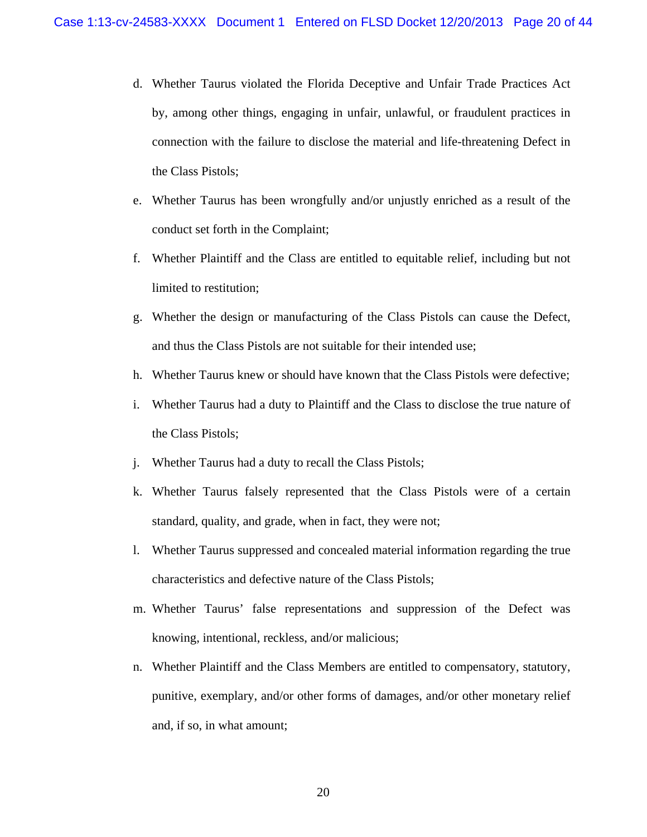- d. Whether Taurus violated the Florida Deceptive and Unfair Trade Practices Act by, among other things, engaging in unfair, unlawful, or fraudulent practices in connection with the failure to disclose the material and life-threatening Defect in the Class Pistols;
- e. Whether Taurus has been wrongfully and/or unjustly enriched as a result of the conduct set forth in the Complaint;
- f. Whether Plaintiff and the Class are entitled to equitable relief, including but not limited to restitution;
- g. Whether the design or manufacturing of the Class Pistols can cause the Defect, and thus the Class Pistols are not suitable for their intended use;
- h. Whether Taurus knew or should have known that the Class Pistols were defective;
- i. Whether Taurus had a duty to Plaintiff and the Class to disclose the true nature of the Class Pistols;
- j. Whether Taurus had a duty to recall the Class Pistols;
- k. Whether Taurus falsely represented that the Class Pistols were of a certain standard, quality, and grade, when in fact, they were not;
- l. Whether Taurus suppressed and concealed material information regarding the true characteristics and defective nature of the Class Pistols;
- m. Whether Taurus' false representations and suppression of the Defect was knowing, intentional, reckless, and/or malicious;
- n. Whether Plaintiff and the Class Members are entitled to compensatory, statutory, punitive, exemplary, and/or other forms of damages, and/or other monetary relief and, if so, in what amount;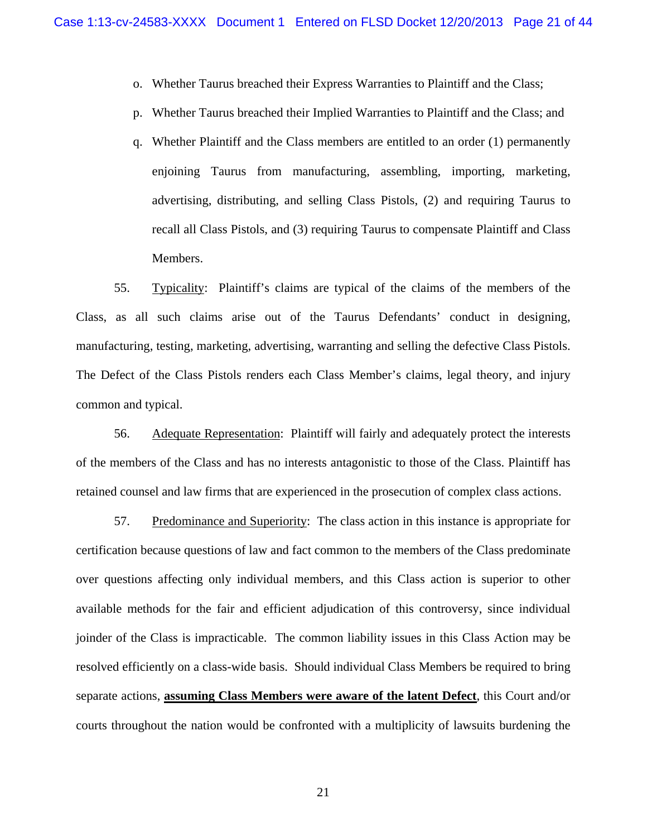- o. Whether Taurus breached their Express Warranties to Plaintiff and the Class;
- p. Whether Taurus breached their Implied Warranties to Plaintiff and the Class; and
- q. Whether Plaintiff and the Class members are entitled to an order (1) permanently enjoining Taurus from manufacturing, assembling, importing, marketing, advertising, distributing, and selling Class Pistols, (2) and requiring Taurus to recall all Class Pistols, and (3) requiring Taurus to compensate Plaintiff and Class Members.

55. Typicality: Plaintiff's claims are typical of the claims of the members of the Class, as all such claims arise out of the Taurus Defendants' conduct in designing, manufacturing, testing, marketing, advertising, warranting and selling the defective Class Pistols. The Defect of the Class Pistols renders each Class Member's claims, legal theory, and injury common and typical.

56. Adequate Representation: Plaintiff will fairly and adequately protect the interests of the members of the Class and has no interests antagonistic to those of the Class. Plaintiff has retained counsel and law firms that are experienced in the prosecution of complex class actions.

57. Predominance and Superiority: The class action in this instance is appropriate for certification because questions of law and fact common to the members of the Class predominate over questions affecting only individual members, and this Class action is superior to other available methods for the fair and efficient adjudication of this controversy, since individual joinder of the Class is impracticable. The common liability issues in this Class Action may be resolved efficiently on a class-wide basis. Should individual Class Members be required to bring separate actions, **assuming Class Members were aware of the latent Defect**, this Court and/or courts throughout the nation would be confronted with a multiplicity of lawsuits burdening the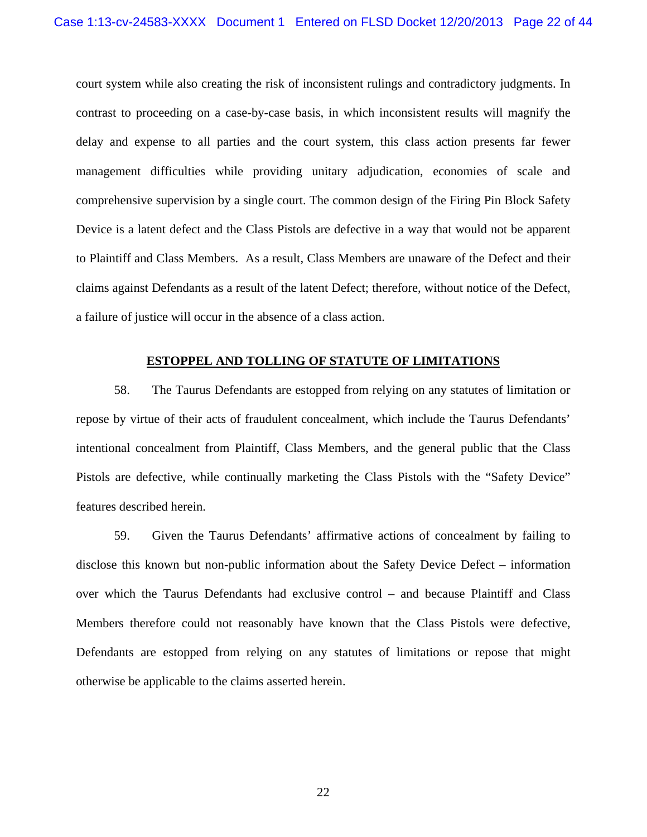court system while also creating the risk of inconsistent rulings and contradictory judgments. In contrast to proceeding on a case-by-case basis, in which inconsistent results will magnify the delay and expense to all parties and the court system, this class action presents far fewer management difficulties while providing unitary adjudication, economies of scale and comprehensive supervision by a single court. The common design of the Firing Pin Block Safety Device is a latent defect and the Class Pistols are defective in a way that would not be apparent to Plaintiff and Class Members. As a result, Class Members are unaware of the Defect and their claims against Defendants as a result of the latent Defect; therefore, without notice of the Defect, a failure of justice will occur in the absence of a class action.

#### **ESTOPPEL AND TOLLING OF STATUTE OF LIMITATIONS**

58. The Taurus Defendants are estopped from relying on any statutes of limitation or repose by virtue of their acts of fraudulent concealment, which include the Taurus Defendants' intentional concealment from Plaintiff, Class Members, and the general public that the Class Pistols are defective, while continually marketing the Class Pistols with the "Safety Device" features described herein.

59. Given the Taurus Defendants' affirmative actions of concealment by failing to disclose this known but non-public information about the Safety Device Defect – information over which the Taurus Defendants had exclusive control – and because Plaintiff and Class Members therefore could not reasonably have known that the Class Pistols were defective, Defendants are estopped from relying on any statutes of limitations or repose that might otherwise be applicable to the claims asserted herein.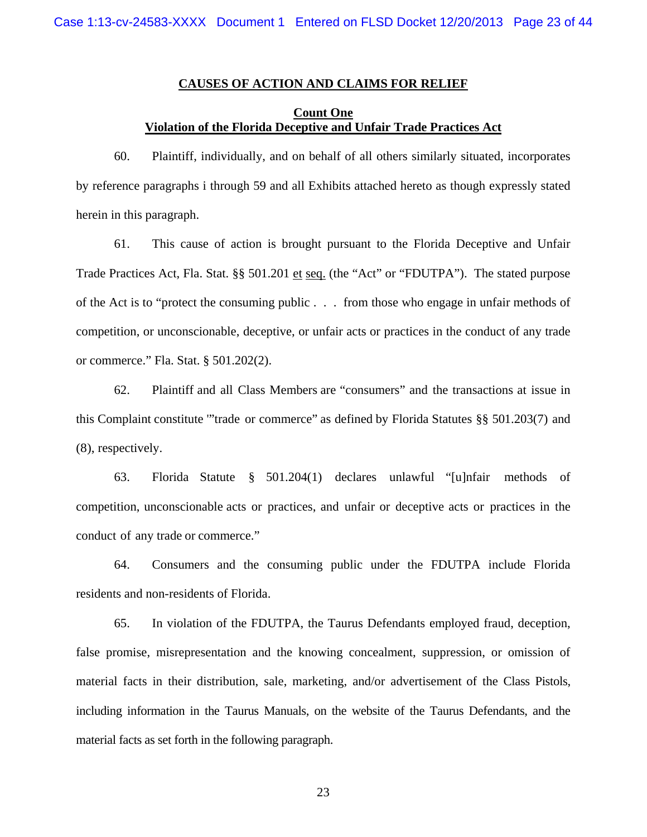#### **CAUSES OF ACTION AND CLAIMS FOR RELIEF**

## **Count One Violation of the Florida Deceptive and Unfair Trade Practices Act**

60. Plaintiff, individually, and on behalf of all others similarly situated, incorporates by reference paragraphs i through 59 and all Exhibits attached hereto as though expressly stated herein in this paragraph.

61. This cause of action is brought pursuant to the Florida Deceptive and Unfair Trade Practices Act, Fla. Stat. §§ 501.201 et seq. (the "Act" or "FDUTPA"). The stated purpose of the Act is to "protect the consuming public . . . from those who engage in unfair methods of competition, or unconscionable, deceptive, or unfair acts or practices in the conduct of any trade or commerce." Fla. Stat. § 501.202(2).

62. Plaintiff and all Class Members are "consumers" and the transactions at issue in this Complaint constitute '"trade or commerce" as defined by Florida Statutes §§ 501.203(7) and (8), respectively.

63. Florida Statute § 501.204(1) declares unlawful "[u]nfair methods of competition, unconscionable acts or practices, and unfair or deceptive acts or practices in the conduct of any trade or commerce."

64. Consumers and the consuming public under the FDUTPA include Florida residents and non-residents of Florida.

65. In violation of the FDUTPA, the Taurus Defendants employed fraud, deception, false promise, misrepresentation and the knowing concealment, suppression, or omission of material facts in their distribution, sale, marketing, and/or advertisement of the Class Pistols, including information in the Taurus Manuals, on the website of the Taurus Defendants, and the material facts as set forth in the following paragraph.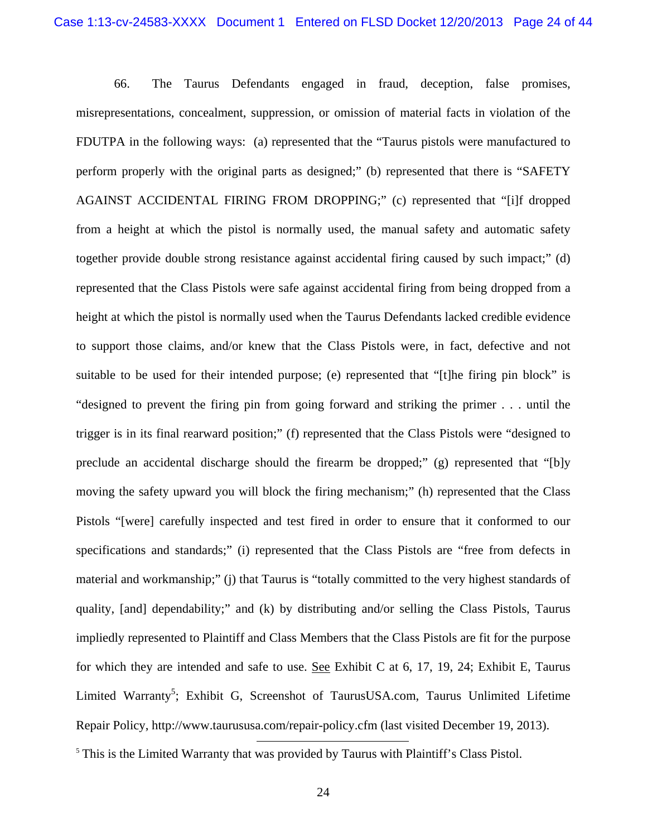66. The Taurus Defendants engaged in fraud, deception, false promises, misrepresentations, concealment, suppression, or omission of material facts in violation of the FDUTPA in the following ways: (a) represented that the "Taurus pistols were manufactured to perform properly with the original parts as designed;" (b) represented that there is "SAFETY AGAINST ACCIDENTAL FIRING FROM DROPPING;" (c) represented that "[i]f dropped from a height at which the pistol is normally used, the manual safety and automatic safety together provide double strong resistance against accidental firing caused by such impact;" (d) represented that the Class Pistols were safe against accidental firing from being dropped from a height at which the pistol is normally used when the Taurus Defendants lacked credible evidence to support those claims, and/or knew that the Class Pistols were, in fact, defective and not suitable to be used for their intended purpose; (e) represented that "[t]he firing pin block" is "designed to prevent the firing pin from going forward and striking the primer . . . until the trigger is in its final rearward position;" (f) represented that the Class Pistols were "designed to preclude an accidental discharge should the firearm be dropped;" (g) represented that "[b]y moving the safety upward you will block the firing mechanism;" (h) represented that the Class Pistols "[were] carefully inspected and test fired in order to ensure that it conformed to our specifications and standards;" (i) represented that the Class Pistols are "free from defects in material and workmanship;" (j) that Taurus is "totally committed to the very highest standards of quality, [and] dependability;" and (k) by distributing and/or selling the Class Pistols, Taurus impliedly represented to Plaintiff and Class Members that the Class Pistols are fit for the purpose for which they are intended and safe to use. See Exhibit C at 6, 17, 19, 24; Exhibit E, Taurus Limited Warranty<sup>5</sup>; Exhibit G, Screenshot of TaurusUSA.com, Taurus Unlimited Lifetime Repair Policy, http://www.taurususa.com/repair-policy.cfm (last visited December 19, 2013).

<sup>&</sup>lt;sup>5</sup> This is the Limited Warranty that was provided by Taurus with Plaintiff's Class Pistol.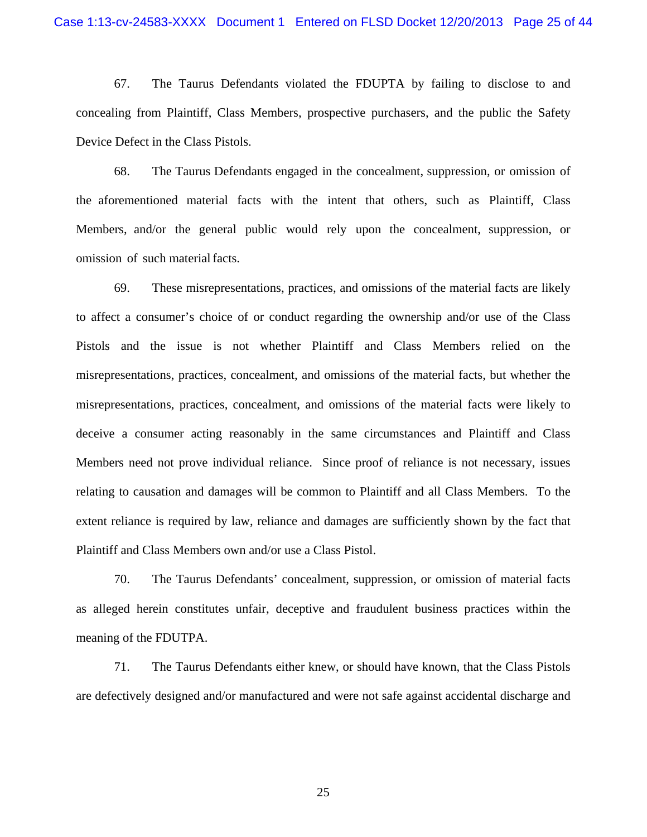67. The Taurus Defendants violated the FDUPTA by failing to disclose to and concealing from Plaintiff, Class Members, prospective purchasers, and the public the Safety Device Defect in the Class Pistols.

68. The Taurus Defendants engaged in the concealment, suppression, or omission of the aforementioned material facts with the intent that others, such as Plaintiff, Class Members, and/or the general public would rely upon the concealment, suppression, or omission of such material facts.

69. These misrepresentations, practices, and omissions of the material facts are likely to affect a consumer's choice of or conduct regarding the ownership and/or use of the Class Pistols and the issue is not whether Plaintiff and Class Members relied on the misrepresentations, practices, concealment, and omissions of the material facts, but whether the misrepresentations, practices, concealment, and omissions of the material facts were likely to deceive a consumer acting reasonably in the same circumstances and Plaintiff and Class Members need not prove individual reliance. Since proof of reliance is not necessary, issues relating to causation and damages will be common to Plaintiff and all Class Members. To the extent reliance is required by law, reliance and damages are sufficiently shown by the fact that Plaintiff and Class Members own and/or use a Class Pistol.

70. The Taurus Defendants' concealment, suppression, or omission of material facts as alleged herein constitutes unfair, deceptive and fraudulent business practices within the meaning of the FDUTPA.

71. The Taurus Defendants either knew, or should have known, that the Class Pistols are defectively designed and/or manufactured and were not safe against accidental discharge and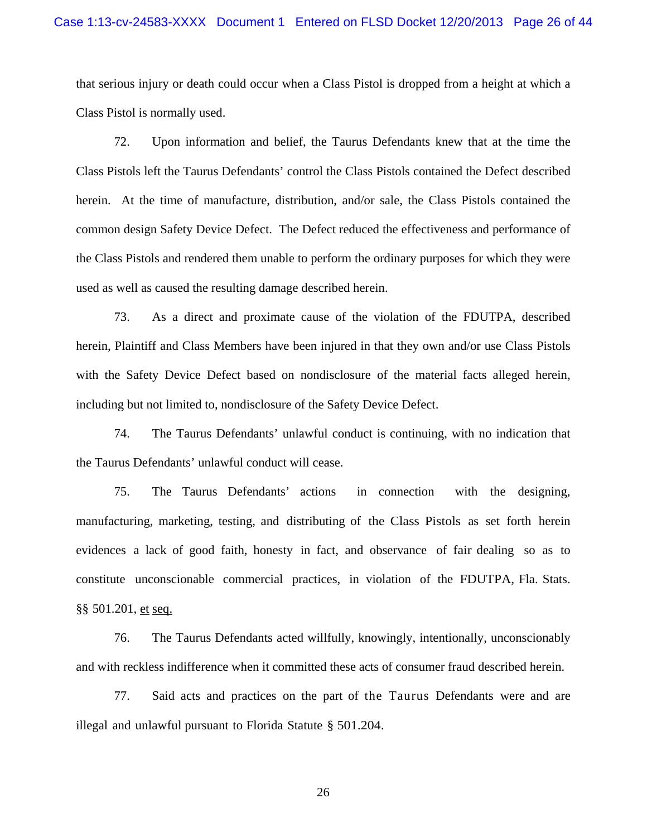that serious injury or death could occur when a Class Pistol is dropped from a height at which a Class Pistol is normally used.

72. Upon information and belief, the Taurus Defendants knew that at the time the Class Pistols left the Taurus Defendants' control the Class Pistols contained the Defect described herein. At the time of manufacture, distribution, and/or sale, the Class Pistols contained the common design Safety Device Defect. The Defect reduced the effectiveness and performance of the Class Pistols and rendered them unable to perform the ordinary purposes for which they were used as well as caused the resulting damage described herein.

73. As a direct and proximate cause of the violation of the FDUTPA, described herein, Plaintiff and Class Members have been injured in that they own and/or use Class Pistols with the Safety Device Defect based on nondisclosure of the material facts alleged herein, including but not limited to, nondisclosure of the Safety Device Defect.

74. The Taurus Defendants' unlawful conduct is continuing, with no indication that the Taurus Defendants' unlawful conduct will cease.

75. The Taurus Defendants' actions in connection with the designing, manufacturing, marketing, testing, and distributing of the Class Pistols as set forth herein evidences a lack of good faith, honesty in fact, and observance of fair dealing so as to constitute unconscionable commercial practices, in violation of the FDUTPA, Fla. Stats. §§ 501.201, et seq.

76. The Taurus Defendants acted willfully, knowingly, intentionally, unconscionably and with reckless indifference when it committed these acts of consumer fraud described herein.

77. Said acts and practices on the part of the Taurus Defendants were and are illegal and unlawful pursuant to Florida Statute § 501.204.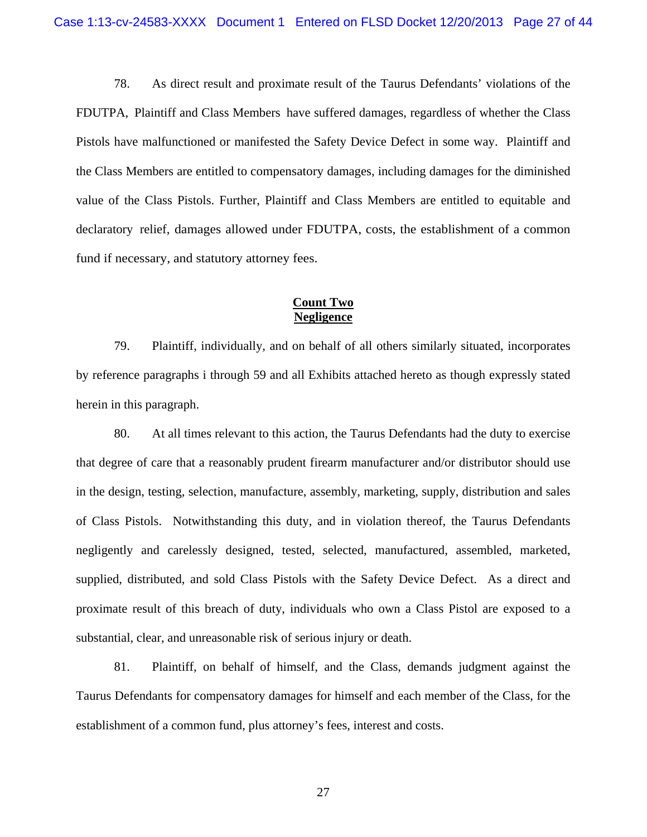78. As direct result and proximate result of the Taurus Defendants' violations of the FDUTPA, Plaintiff and Class Members have suffered damages, regardless of whether the Class Pistols have malfunctioned or manifested the Safety Device Defect in some way. Plaintiff and the Class Members are entitled to compensatory damages, including damages for the diminished value of the Class Pistols. Further, Plaintiff and Class Members are entitled to equitable and declaratory relief, damages allowed under FDUTPA, costs, the establishment of a common fund if necessary, and statutory attorney fees.

### **Count Two Negligence**

79. Plaintiff, individually, and on behalf of all others similarly situated, incorporates by reference paragraphs i through 59 and all Exhibits attached hereto as though expressly stated herein in this paragraph.

80. At all times relevant to this action, the Taurus Defendants had the duty to exercise that degree of care that a reasonably prudent firearm manufacturer and/or distributor should use in the design, testing, selection, manufacture, assembly, marketing, supply, distribution and sales of Class Pistols. Notwithstanding this duty, and in violation thereof, the Taurus Defendants negligently and carelessly designed, tested, selected, manufactured, assembled, marketed, supplied, distributed, and sold Class Pistols with the Safety Device Defect. As a direct and proximate result of this breach of duty, individuals who own a Class Pistol are exposed to a substantial, clear, and unreasonable risk of serious injury or death.

81. Plaintiff, on behalf of himself, and the Class, demands judgment against the Taurus Defendants for compensatory damages for himself and each member of the Class, for the establishment of a common fund, plus attorney's fees, interest and costs.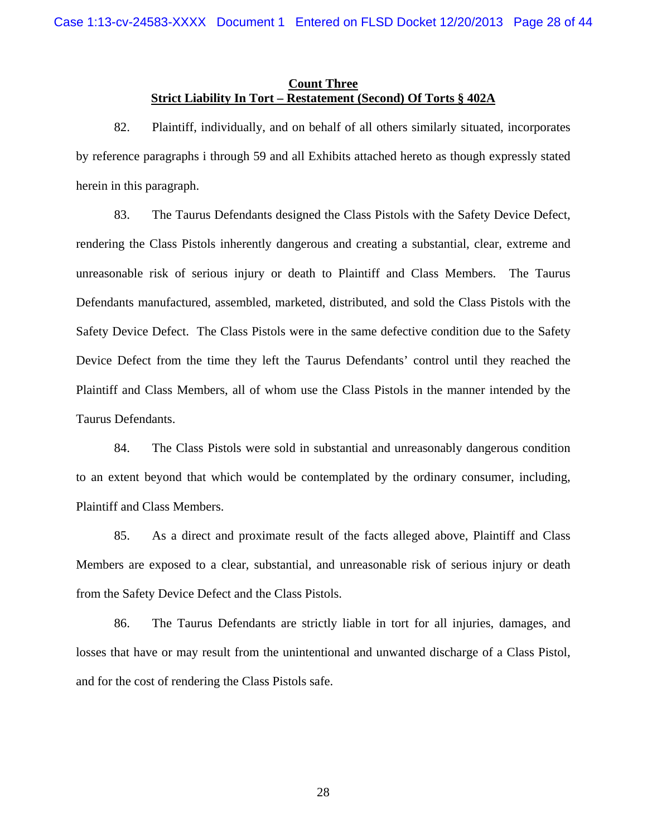#### **Count Three Strict Liability In Tort – Restatement (Second) Of Torts § 402A**

82. Plaintiff, individually, and on behalf of all others similarly situated, incorporates by reference paragraphs i through 59 and all Exhibits attached hereto as though expressly stated herein in this paragraph.

83. The Taurus Defendants designed the Class Pistols with the Safety Device Defect, rendering the Class Pistols inherently dangerous and creating a substantial, clear, extreme and unreasonable risk of serious injury or death to Plaintiff and Class Members. The Taurus Defendants manufactured, assembled, marketed, distributed, and sold the Class Pistols with the Safety Device Defect. The Class Pistols were in the same defective condition due to the Safety Device Defect from the time they left the Taurus Defendants' control until they reached the Plaintiff and Class Members, all of whom use the Class Pistols in the manner intended by the Taurus Defendants.

84. The Class Pistols were sold in substantial and unreasonably dangerous condition to an extent beyond that which would be contemplated by the ordinary consumer, including, Plaintiff and Class Members.

85. As a direct and proximate result of the facts alleged above, Plaintiff and Class Members are exposed to a clear, substantial, and unreasonable risk of serious injury or death from the Safety Device Defect and the Class Pistols.

86. The Taurus Defendants are strictly liable in tort for all injuries, damages, and losses that have or may result from the unintentional and unwanted discharge of a Class Pistol, and for the cost of rendering the Class Pistols safe.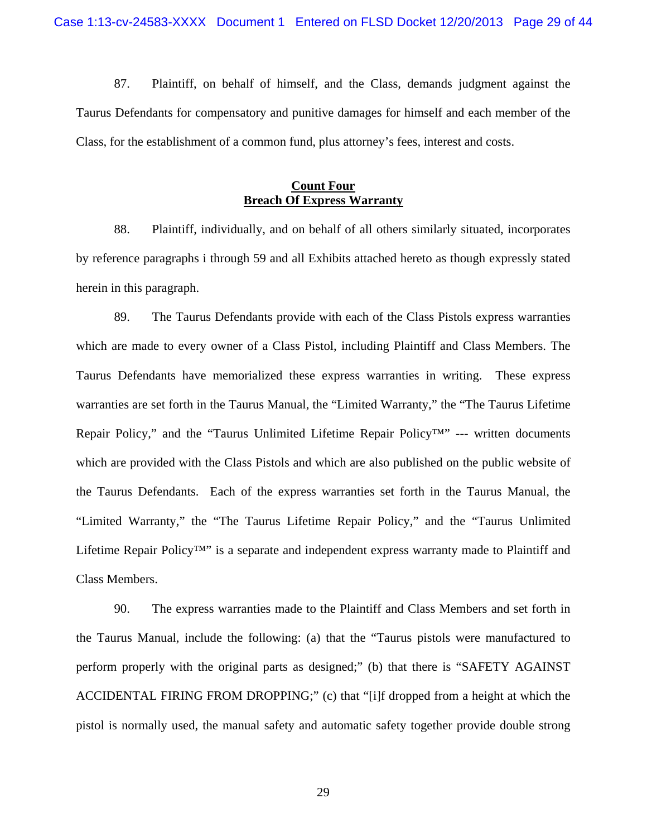87. Plaintiff, on behalf of himself, and the Class, demands judgment against the Taurus Defendants for compensatory and punitive damages for himself and each member of the Class, for the establishment of a common fund, plus attorney's fees, interest and costs.

### **Count Four Breach Of Express Warranty**

88. Plaintiff, individually, and on behalf of all others similarly situated, incorporates by reference paragraphs i through 59 and all Exhibits attached hereto as though expressly stated herein in this paragraph.

89. The Taurus Defendants provide with each of the Class Pistols express warranties which are made to every owner of a Class Pistol, including Plaintiff and Class Members. The Taurus Defendants have memorialized these express warranties in writing. These express warranties are set forth in the Taurus Manual, the "Limited Warranty," the "The Taurus Lifetime Repair Policy," and the "Taurus Unlimited Lifetime Repair Policy™" --- written documents which are provided with the Class Pistols and which are also published on the public website of the Taurus Defendants. Each of the express warranties set forth in the Taurus Manual, the "Limited Warranty," the "The Taurus Lifetime Repair Policy," and the "Taurus Unlimited Lifetime Repair Policy™" is a separate and independent express warranty made to Plaintiff and Class Members.

90. The express warranties made to the Plaintiff and Class Members and set forth in the Taurus Manual, include the following: (a) that the "Taurus pistols were manufactured to perform properly with the original parts as designed;" (b) that there is "SAFETY AGAINST ACCIDENTAL FIRING FROM DROPPING;" (c) that "[i]f dropped from a height at which the pistol is normally used, the manual safety and automatic safety together provide double strong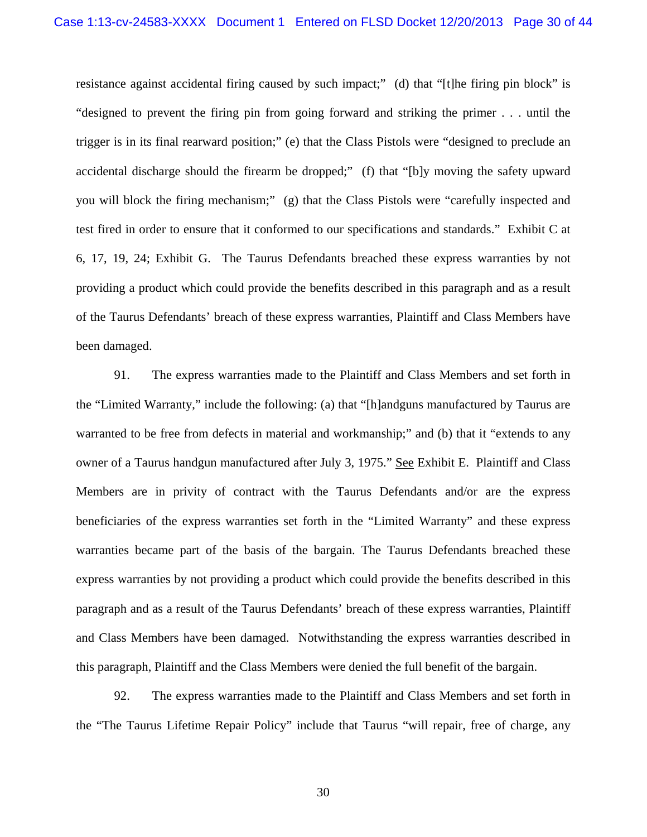resistance against accidental firing caused by such impact;" (d) that "[t]he firing pin block" is "designed to prevent the firing pin from going forward and striking the primer . . . until the trigger is in its final rearward position;" (e) that the Class Pistols were "designed to preclude an accidental discharge should the firearm be dropped;" (f) that "[b]y moving the safety upward you will block the firing mechanism;" (g) that the Class Pistols were "carefully inspected and test fired in order to ensure that it conformed to our specifications and standards." Exhibit C at 6, 17, 19, 24; Exhibit G. The Taurus Defendants breached these express warranties by not providing a product which could provide the benefits described in this paragraph and as a result of the Taurus Defendants' breach of these express warranties, Plaintiff and Class Members have been damaged.

91. The express warranties made to the Plaintiff and Class Members and set forth in the "Limited Warranty," include the following: (a) that "[h]andguns manufactured by Taurus are warranted to be free from defects in material and workmanship;" and (b) that it "extends to any owner of a Taurus handgun manufactured after July 3, 1975." See Exhibit E. Plaintiff and Class Members are in privity of contract with the Taurus Defendants and/or are the express beneficiaries of the express warranties set forth in the "Limited Warranty" and these express warranties became part of the basis of the bargain. The Taurus Defendants breached these express warranties by not providing a product which could provide the benefits described in this paragraph and as a result of the Taurus Defendants' breach of these express warranties, Plaintiff and Class Members have been damaged. Notwithstanding the express warranties described in this paragraph, Plaintiff and the Class Members were denied the full benefit of the bargain.

92. The express warranties made to the Plaintiff and Class Members and set forth in the "The Taurus Lifetime Repair Policy" include that Taurus "will repair, free of charge, any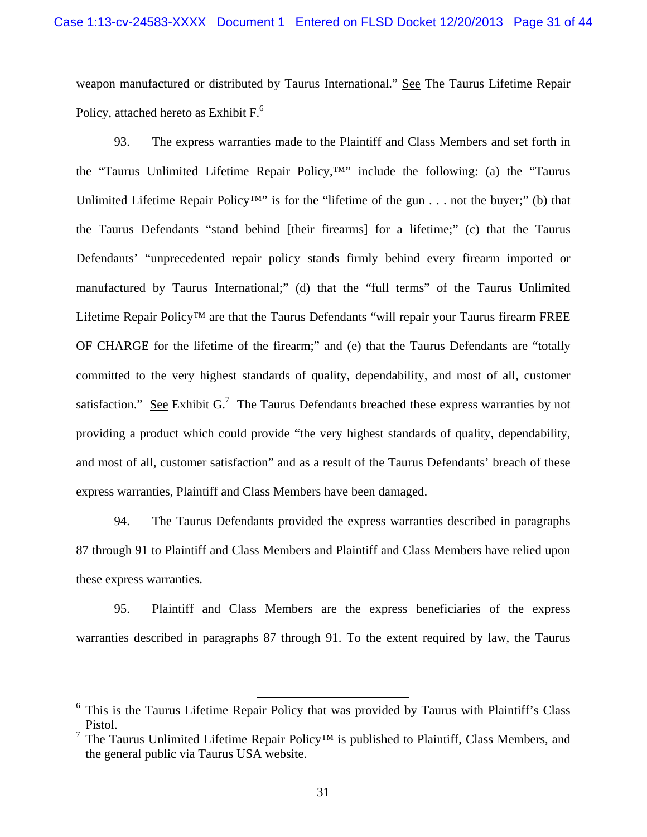weapon manufactured or distributed by Taurus International." See The Taurus Lifetime Repair Policy, attached hereto as Exhibit F.<sup>6</sup>

93. The express warranties made to the Plaintiff and Class Members and set forth in the "Taurus Unlimited Lifetime Repair Policy,™" include the following: (a) the "Taurus Unlimited Lifetime Repair Policy™" is for the "lifetime of the gun . . . not the buyer;" (b) that the Taurus Defendants "stand behind [their firearms] for a lifetime;" (c) that the Taurus Defendants' "unprecedented repair policy stands firmly behind every firearm imported or manufactured by Taurus International;" (d) that the "full terms" of the Taurus Unlimited Lifetime Repair Policy™ are that the Taurus Defendants "will repair your Taurus firearm FREE OF CHARGE for the lifetime of the firearm;" and (e) that the Taurus Defendants are "totally committed to the very highest standards of quality, dependability, and most of all, customer satisfaction." See Exhibit G.<sup>7</sup> The Taurus Defendants breached these express warranties by not providing a product which could provide "the very highest standards of quality, dependability, and most of all, customer satisfaction" and as a result of the Taurus Defendants' breach of these express warranties, Plaintiff and Class Members have been damaged.

94. The Taurus Defendants provided the express warranties described in paragraphs 87 through 91 to Plaintiff and Class Members and Plaintiff and Class Members have relied upon these express warranties.

95. Plaintiff and Class Members are the express beneficiaries of the express warranties described in paragraphs 87 through 91. To the extent required by law, the Taurus

<sup>&</sup>lt;sup>6</sup> This is the Taurus Lifetime Repair Policy that was provided by Taurus with Plaintiff's Class Pistol.

<sup>&</sup>lt;sup>7</sup> The Taurus Unlimited Lifetime Repair Policy<sup>TM</sup> is published to Plaintiff, Class Members, and the general public via Taurus USA website.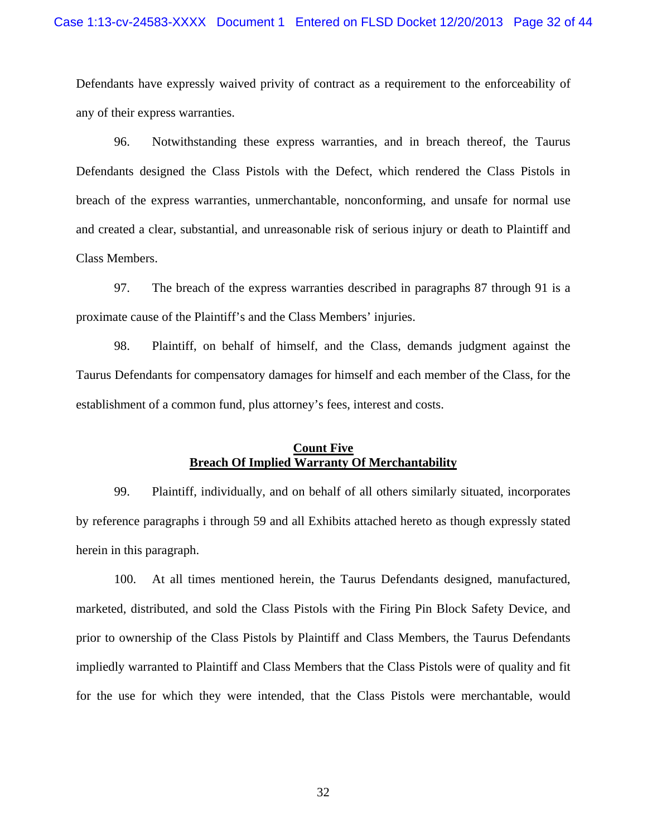Defendants have expressly waived privity of contract as a requirement to the enforceability of any of their express warranties.

96. Notwithstanding these express warranties, and in breach thereof, the Taurus Defendants designed the Class Pistols with the Defect, which rendered the Class Pistols in breach of the express warranties, unmerchantable, nonconforming, and unsafe for normal use and created a clear, substantial, and unreasonable risk of serious injury or death to Plaintiff and Class Members.

97. The breach of the express warranties described in paragraphs 87 through 91 is a proximate cause of the Plaintiff's and the Class Members' injuries.

98. Plaintiff, on behalf of himself, and the Class, demands judgment against the Taurus Defendants for compensatory damages for himself and each member of the Class, for the establishment of a common fund, plus attorney's fees, interest and costs.

# **Count Five Breach Of Implied Warranty Of Merchantability**

99. Plaintiff, individually, and on behalf of all others similarly situated, incorporates by reference paragraphs i through 59 and all Exhibits attached hereto as though expressly stated herein in this paragraph.

100. At all times mentioned herein, the Taurus Defendants designed, manufactured, marketed, distributed, and sold the Class Pistols with the Firing Pin Block Safety Device, and prior to ownership of the Class Pistols by Plaintiff and Class Members, the Taurus Defendants impliedly warranted to Plaintiff and Class Members that the Class Pistols were of quality and fit for the use for which they were intended, that the Class Pistols were merchantable, would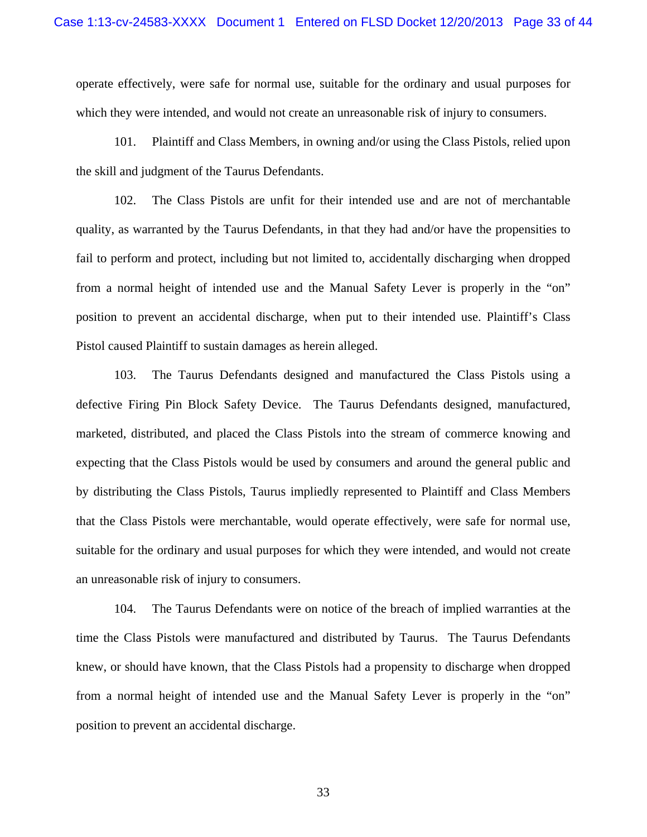operate effectively, were safe for normal use, suitable for the ordinary and usual purposes for which they were intended, and would not create an unreasonable risk of injury to consumers.

101. Plaintiff and Class Members, in owning and/or using the Class Pistols, relied upon the skill and judgment of the Taurus Defendants.

102. The Class Pistols are unfit for their intended use and are not of merchantable quality, as warranted by the Taurus Defendants, in that they had and/or have the propensities to fail to perform and protect, including but not limited to, accidentally discharging when dropped from a normal height of intended use and the Manual Safety Lever is properly in the "on" position to prevent an accidental discharge, when put to their intended use. Plaintiff's Class Pistol caused Plaintiff to sustain damages as herein alleged.

103. The Taurus Defendants designed and manufactured the Class Pistols using a defective Firing Pin Block Safety Device. The Taurus Defendants designed, manufactured, marketed, distributed, and placed the Class Pistols into the stream of commerce knowing and expecting that the Class Pistols would be used by consumers and around the general public and by distributing the Class Pistols, Taurus impliedly represented to Plaintiff and Class Members that the Class Pistols were merchantable, would operate effectively, were safe for normal use, suitable for the ordinary and usual purposes for which they were intended, and would not create an unreasonable risk of injury to consumers.

104. The Taurus Defendants were on notice of the breach of implied warranties at the time the Class Pistols were manufactured and distributed by Taurus. The Taurus Defendants knew, or should have known, that the Class Pistols had a propensity to discharge when dropped from a normal height of intended use and the Manual Safety Lever is properly in the "on" position to prevent an accidental discharge.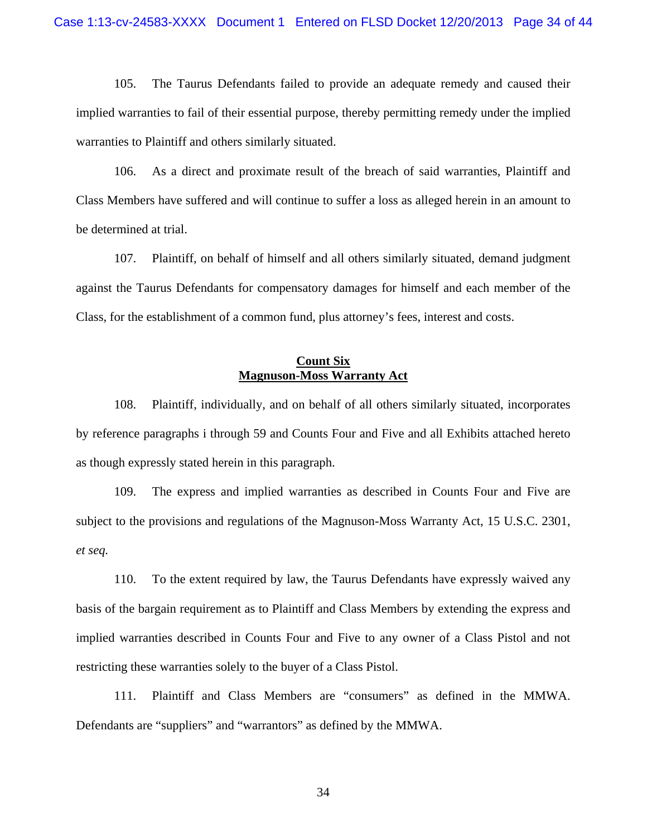105. The Taurus Defendants failed to provide an adequate remedy and caused their implied warranties to fail of their essential purpose, thereby permitting remedy under the implied warranties to Plaintiff and others similarly situated.

106. As a direct and proximate result of the breach of said warranties, Plaintiff and Class Members have suffered and will continue to suffer a loss as alleged herein in an amount to be determined at trial.

107. Plaintiff, on behalf of himself and all others similarly situated, demand judgment against the Taurus Defendants for compensatory damages for himself and each member of the Class, for the establishment of a common fund, plus attorney's fees, interest and costs.

### **Count Six Magnuson-Moss Warranty Act**

108. Plaintiff, individually, and on behalf of all others similarly situated, incorporates by reference paragraphs i through 59 and Counts Four and Five and all Exhibits attached hereto as though expressly stated herein in this paragraph.

109. The express and implied warranties as described in Counts Four and Five are subject to the provisions and regulations of the Magnuson-Moss Warranty Act, 15 U.S.C. 2301, *et seq.*

110. To the extent required by law, the Taurus Defendants have expressly waived any basis of the bargain requirement as to Plaintiff and Class Members by extending the express and implied warranties described in Counts Four and Five to any owner of a Class Pistol and not restricting these warranties solely to the buyer of a Class Pistol.

111. Plaintiff and Class Members are "consumers" as defined in the MMWA. Defendants are "suppliers" and "warrantors" as defined by the MMWA.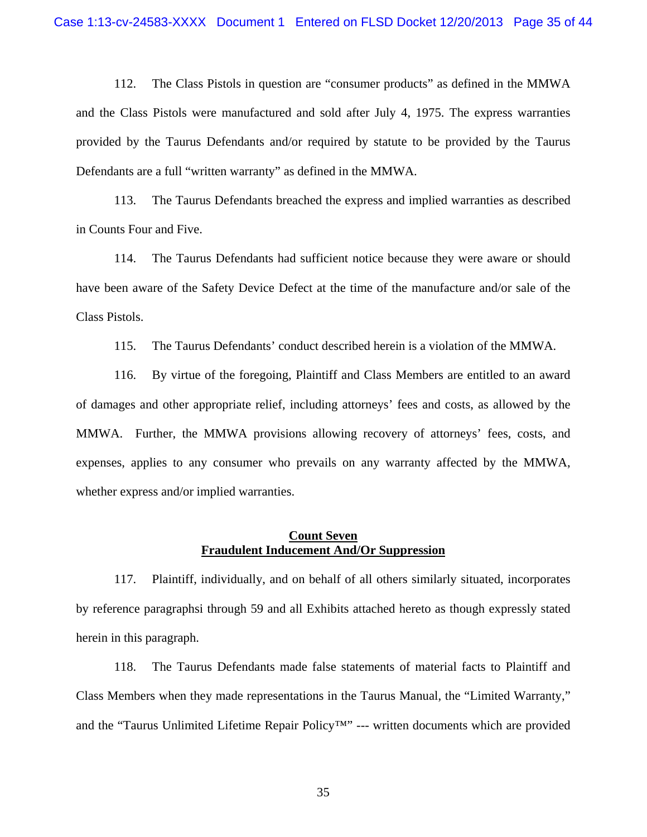112. The Class Pistols in question are "consumer products" as defined in the MMWA and the Class Pistols were manufactured and sold after July 4, 1975. The express warranties provided by the Taurus Defendants and/or required by statute to be provided by the Taurus Defendants are a full "written warranty" as defined in the MMWA.

113. The Taurus Defendants breached the express and implied warranties as described in Counts Four and Five.

114. The Taurus Defendants had sufficient notice because they were aware or should have been aware of the Safety Device Defect at the time of the manufacture and/or sale of the Class Pistols.

115. The Taurus Defendants' conduct described herein is a violation of the MMWA.

116. By virtue of the foregoing, Plaintiff and Class Members are entitled to an award of damages and other appropriate relief, including attorneys' fees and costs, as allowed by the MMWA. Further, the MMWA provisions allowing recovery of attorneys' fees, costs, and expenses, applies to any consumer who prevails on any warranty affected by the MMWA, whether express and/or implied warranties.

#### **Count Seven Fraudulent Inducement And/Or Suppression**

117. Plaintiff, individually, and on behalf of all others similarly situated, incorporates by reference paragraphsi through 59 and all Exhibits attached hereto as though expressly stated herein in this paragraph.

118. The Taurus Defendants made false statements of material facts to Plaintiff and Class Members when they made representations in the Taurus Manual, the "Limited Warranty," and the "Taurus Unlimited Lifetime Repair Policy™" --- written documents which are provided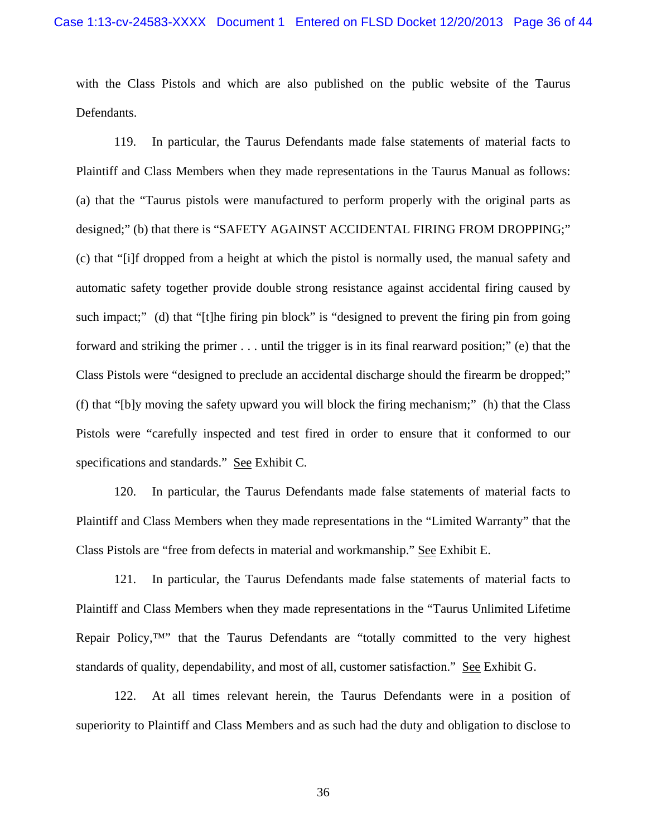with the Class Pistols and which are also published on the public website of the Taurus Defendants.

119. In particular, the Taurus Defendants made false statements of material facts to Plaintiff and Class Members when they made representations in the Taurus Manual as follows: (a) that the "Taurus pistols were manufactured to perform properly with the original parts as designed;" (b) that there is "SAFETY AGAINST ACCIDENTAL FIRING FROM DROPPING;" (c) that "[i]f dropped from a height at which the pistol is normally used, the manual safety and automatic safety together provide double strong resistance against accidental firing caused by such impact;" (d) that "[t]he firing pin block" is "designed to prevent the firing pin from going forward and striking the primer . . . until the trigger is in its final rearward position;" (e) that the Class Pistols were "designed to preclude an accidental discharge should the firearm be dropped;" (f) that "[b]y moving the safety upward you will block the firing mechanism;" (h) that the Class Pistols were "carefully inspected and test fired in order to ensure that it conformed to our specifications and standards." See Exhibit C.

120. In particular, the Taurus Defendants made false statements of material facts to Plaintiff and Class Members when they made representations in the "Limited Warranty" that the Class Pistols are "free from defects in material and workmanship." See Exhibit E.

121. In particular, the Taurus Defendants made false statements of material facts to Plaintiff and Class Members when they made representations in the "Taurus Unlimited Lifetime Repair Policy, $\mathbb{I}^N$  that the Taurus Defendants are "totally committed to the very highest standards of quality, dependability, and most of all, customer satisfaction." See Exhibit G.

122. At all times relevant herein, the Taurus Defendants were in a position of superiority to Plaintiff and Class Members and as such had the duty and obligation to disclose to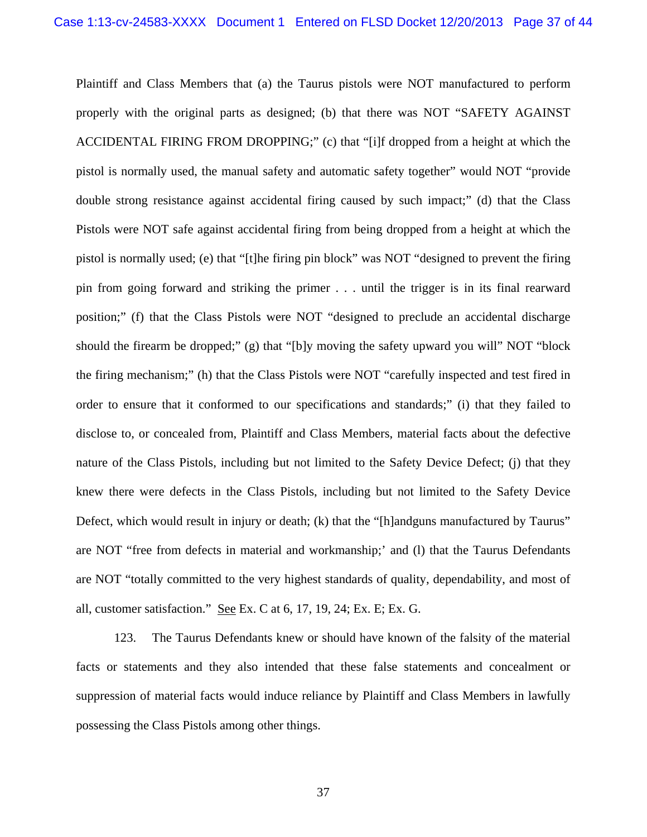Plaintiff and Class Members that (a) the Taurus pistols were NOT manufactured to perform properly with the original parts as designed; (b) that there was NOT "SAFETY AGAINST ACCIDENTAL FIRING FROM DROPPING;" (c) that "[i]f dropped from a height at which the pistol is normally used, the manual safety and automatic safety together" would NOT "provide double strong resistance against accidental firing caused by such impact;" (d) that the Class Pistols were NOT safe against accidental firing from being dropped from a height at which the pistol is normally used; (e) that "[t]he firing pin block" was NOT "designed to prevent the firing pin from going forward and striking the primer . . . until the trigger is in its final rearward position;" (f) that the Class Pistols were NOT "designed to preclude an accidental discharge should the firearm be dropped;" (g) that "[b]y moving the safety upward you will" NOT "block the firing mechanism;" (h) that the Class Pistols were NOT "carefully inspected and test fired in order to ensure that it conformed to our specifications and standards;" (i) that they failed to disclose to, or concealed from, Plaintiff and Class Members, material facts about the defective nature of the Class Pistols, including but not limited to the Safety Device Defect; (j) that they knew there were defects in the Class Pistols, including but not limited to the Safety Device Defect, which would result in injury or death; (k) that the "[h]andguns manufactured by Taurus" are NOT "free from defects in material and workmanship;' and (l) that the Taurus Defendants are NOT "totally committed to the very highest standards of quality, dependability, and most of all, customer satisfaction." See Ex. C at 6, 17, 19, 24; Ex. E; Ex. G.

123. The Taurus Defendants knew or should have known of the falsity of the material facts or statements and they also intended that these false statements and concealment or suppression of material facts would induce reliance by Plaintiff and Class Members in lawfully possessing the Class Pistols among other things.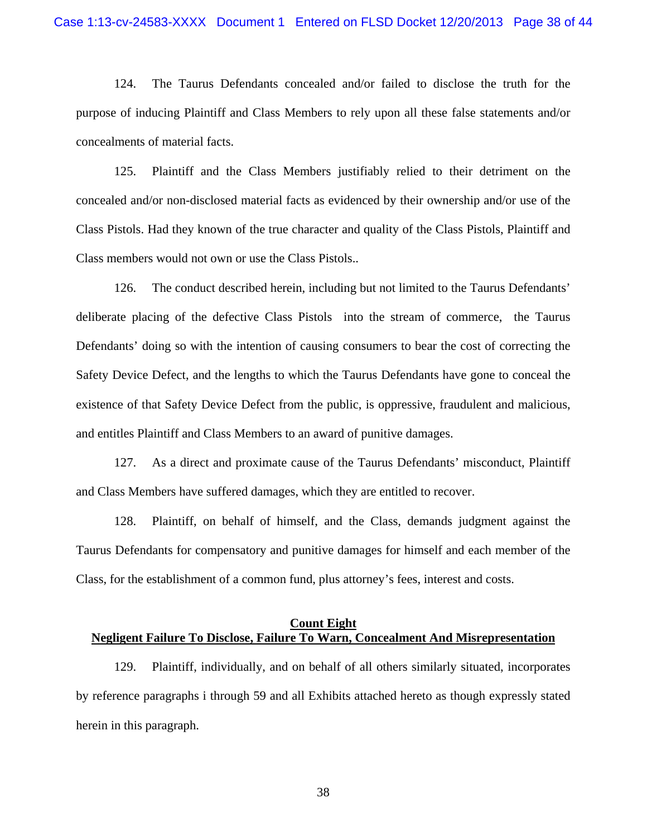124. The Taurus Defendants concealed and/or failed to disclose the truth for the purpose of inducing Plaintiff and Class Members to rely upon all these false statements and/or concealments of material facts.

125. Plaintiff and the Class Members justifiably relied to their detriment on the concealed and/or non-disclosed material facts as evidenced by their ownership and/or use of the Class Pistols. Had they known of the true character and quality of the Class Pistols, Plaintiff and Class members would not own or use the Class Pistols..

126. The conduct described herein, including but not limited to the Taurus Defendants' deliberate placing of the defective Class Pistols into the stream of commerce, the Taurus Defendants' doing so with the intention of causing consumers to bear the cost of correcting the Safety Device Defect, and the lengths to which the Taurus Defendants have gone to conceal the existence of that Safety Device Defect from the public, is oppressive, fraudulent and malicious, and entitles Plaintiff and Class Members to an award of punitive damages.

127. As a direct and proximate cause of the Taurus Defendants' misconduct, Plaintiff and Class Members have suffered damages, which they are entitled to recover.

128. Plaintiff, on behalf of himself, and the Class, demands judgment against the Taurus Defendants for compensatory and punitive damages for himself and each member of the Class, for the establishment of a common fund, plus attorney's fees, interest and costs.

# **Count Eight Negligent Failure To Disclose, Failure To Warn, Concealment And Misrepresentation**

129. Plaintiff, individually, and on behalf of all others similarly situated, incorporates by reference paragraphs i through 59 and all Exhibits attached hereto as though expressly stated herein in this paragraph.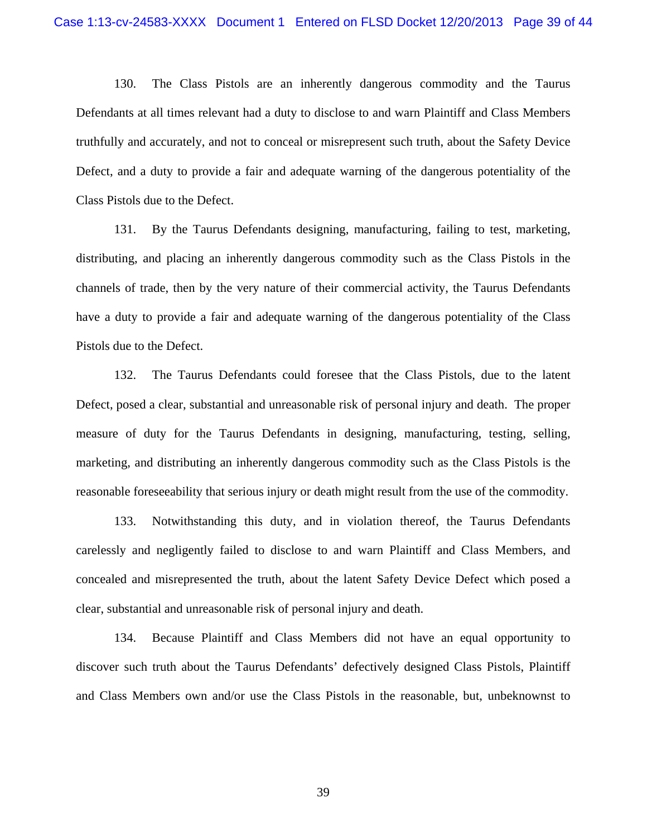130. The Class Pistols are an inherently dangerous commodity and the Taurus Defendants at all times relevant had a duty to disclose to and warn Plaintiff and Class Members truthfully and accurately, and not to conceal or misrepresent such truth, about the Safety Device Defect, and a duty to provide a fair and adequate warning of the dangerous potentiality of the Class Pistols due to the Defect.

131. By the Taurus Defendants designing, manufacturing, failing to test, marketing, distributing, and placing an inherently dangerous commodity such as the Class Pistols in the channels of trade, then by the very nature of their commercial activity, the Taurus Defendants have a duty to provide a fair and adequate warning of the dangerous potentiality of the Class Pistols due to the Defect.

132. The Taurus Defendants could foresee that the Class Pistols, due to the latent Defect, posed a clear, substantial and unreasonable risk of personal injury and death. The proper measure of duty for the Taurus Defendants in designing, manufacturing, testing, selling, marketing, and distributing an inherently dangerous commodity such as the Class Pistols is the reasonable foreseeability that serious injury or death might result from the use of the commodity.

133. Notwithstanding this duty, and in violation thereof, the Taurus Defendants carelessly and negligently failed to disclose to and warn Plaintiff and Class Members, and concealed and misrepresented the truth, about the latent Safety Device Defect which posed a clear, substantial and unreasonable risk of personal injury and death.

134. Because Plaintiff and Class Members did not have an equal opportunity to discover such truth about the Taurus Defendants' defectively designed Class Pistols, Plaintiff and Class Members own and/or use the Class Pistols in the reasonable, but, unbeknownst to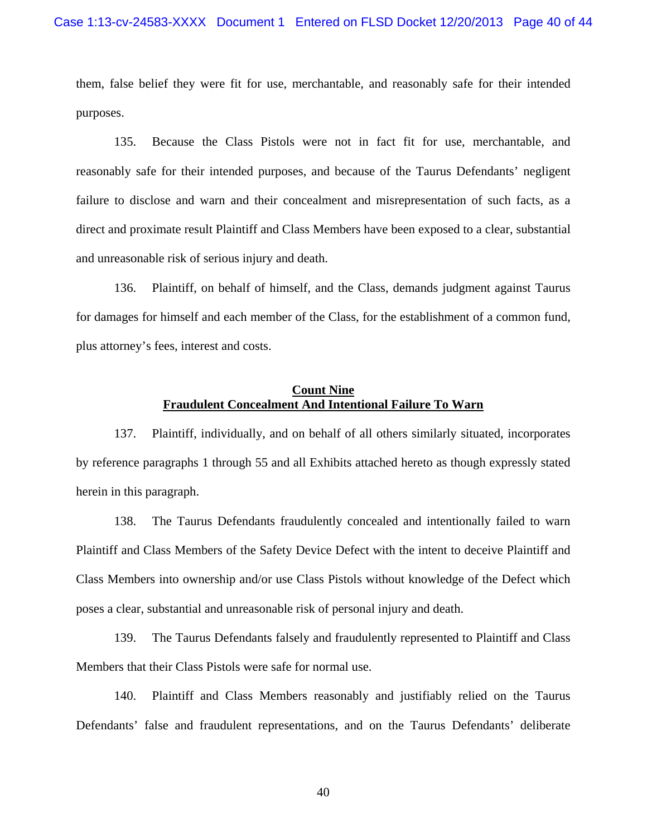them, false belief they were fit for use, merchantable, and reasonably safe for their intended purposes.

135. Because the Class Pistols were not in fact fit for use, merchantable, and reasonably safe for their intended purposes, and because of the Taurus Defendants' negligent failure to disclose and warn and their concealment and misrepresentation of such facts, as a direct and proximate result Plaintiff and Class Members have been exposed to a clear, substantial and unreasonable risk of serious injury and death.

136. Plaintiff, on behalf of himself, and the Class, demands judgment against Taurus for damages for himself and each member of the Class, for the establishment of a common fund, plus attorney's fees, interest and costs.

### **Count Nine Fraudulent Concealment And Intentional Failure To Warn**

137. Plaintiff, individually, and on behalf of all others similarly situated, incorporates by reference paragraphs 1 through 55 and all Exhibits attached hereto as though expressly stated herein in this paragraph.

138. The Taurus Defendants fraudulently concealed and intentionally failed to warn Plaintiff and Class Members of the Safety Device Defect with the intent to deceive Plaintiff and Class Members into ownership and/or use Class Pistols without knowledge of the Defect which poses a clear, substantial and unreasonable risk of personal injury and death.

139. The Taurus Defendants falsely and fraudulently represented to Plaintiff and Class Members that their Class Pistols were safe for normal use.

140. Plaintiff and Class Members reasonably and justifiably relied on the Taurus Defendants' false and fraudulent representations, and on the Taurus Defendants' deliberate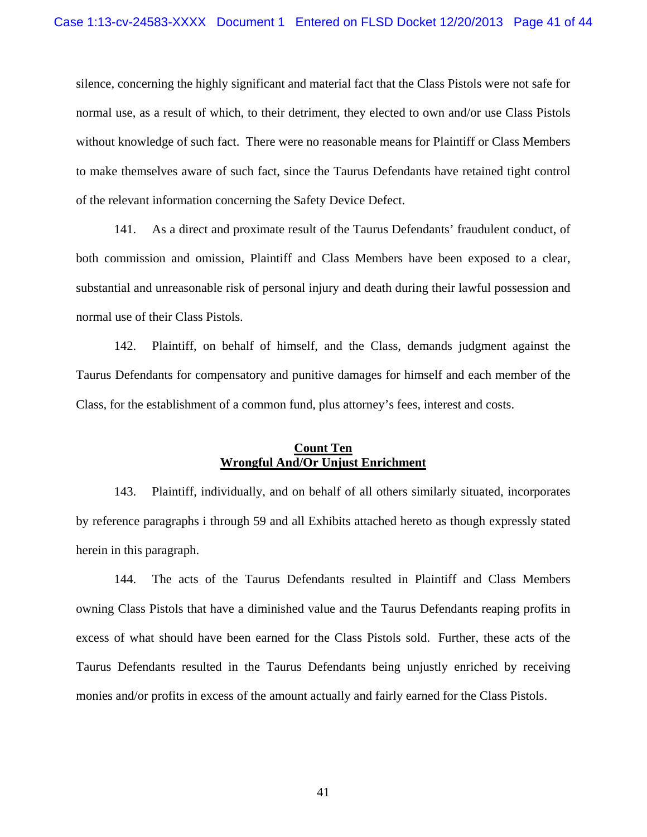silence, concerning the highly significant and material fact that the Class Pistols were not safe for normal use, as a result of which, to their detriment, they elected to own and/or use Class Pistols without knowledge of such fact. There were no reasonable means for Plaintiff or Class Members to make themselves aware of such fact, since the Taurus Defendants have retained tight control of the relevant information concerning the Safety Device Defect.

141. As a direct and proximate result of the Taurus Defendants' fraudulent conduct, of both commission and omission, Plaintiff and Class Members have been exposed to a clear, substantial and unreasonable risk of personal injury and death during their lawful possession and normal use of their Class Pistols.

142. Plaintiff, on behalf of himself, and the Class, demands judgment against the Taurus Defendants for compensatory and punitive damages for himself and each member of the Class, for the establishment of a common fund, plus attorney's fees, interest and costs.

# **Count Ten Wrongful And/Or Unjust Enrichment**

143. Plaintiff, individually, and on behalf of all others similarly situated, incorporates by reference paragraphs i through 59 and all Exhibits attached hereto as though expressly stated herein in this paragraph.

144. The acts of the Taurus Defendants resulted in Plaintiff and Class Members owning Class Pistols that have a diminished value and the Taurus Defendants reaping profits in excess of what should have been earned for the Class Pistols sold. Further, these acts of the Taurus Defendants resulted in the Taurus Defendants being unjustly enriched by receiving monies and/or profits in excess of the amount actually and fairly earned for the Class Pistols.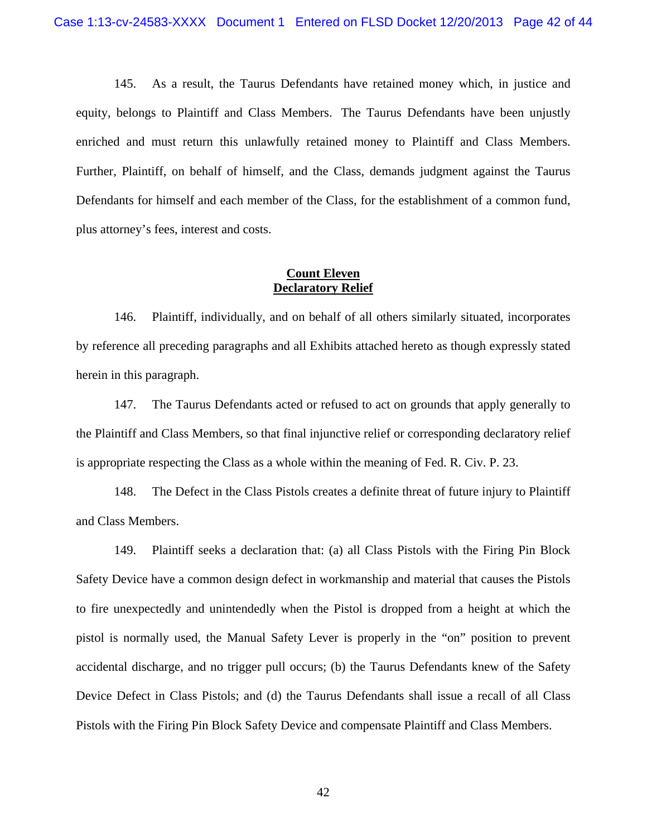145. As a result, the Taurus Defendants have retained money which, in justice and equity, belongs to Plaintiff and Class Members. The Taurus Defendants have been unjustly enriched and must return this unlawfully retained money to Plaintiff and Class Members. Further, Plaintiff, on behalf of himself, and the Class, demands judgment against the Taurus Defendants for himself and each member of the Class, for the establishment of a common fund, plus attorney's fees, interest and costs.

## **Count Eleven Declaratory Relief**

146. Plaintiff, individually, and on behalf of all others similarly situated, incorporates by reference all preceding paragraphs and all Exhibits attached hereto as though expressly stated herein in this paragraph.

147. The Taurus Defendants acted or refused to act on grounds that apply generally to the Plaintiff and Class Members, so that final injunctive relief or corresponding declaratory relief is appropriate respecting the Class as a whole within the meaning of Fed. R. Civ. P. 23.

148. The Defect in the Class Pistols creates a definite threat of future injury to Plaintiff and Class Members.

149. Plaintiff seeks a declaration that: (a) all Class Pistols with the Firing Pin Block Safety Device have a common design defect in workmanship and material that causes the Pistols to fire unexpectedly and unintendedly when the Pistol is dropped from a height at which the pistol is normally used, the Manual Safety Lever is properly in the "on" position to prevent accidental discharge, and no trigger pull occurs; (b) the Taurus Defendants knew of the Safety Device Defect in Class Pistols; and (d) the Taurus Defendants shall issue a recall of all Class Pistols with the Firing Pin Block Safety Device and compensate Plaintiff and Class Members.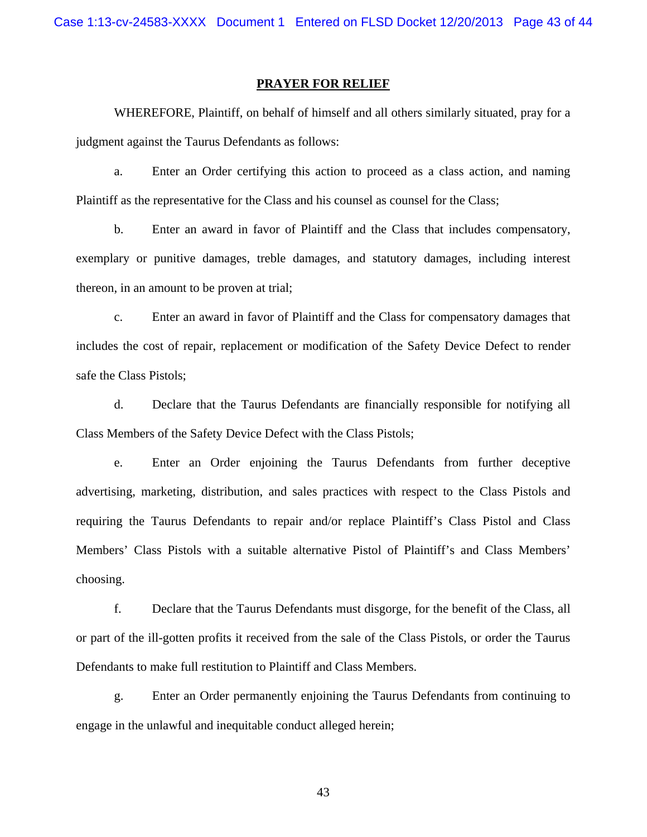#### **PRAYER FOR RELIEF**

WHEREFORE, Plaintiff, on behalf of himself and all others similarly situated, pray for a judgment against the Taurus Defendants as follows:

a. Enter an Order certifying this action to proceed as a class action, and naming Plaintiff as the representative for the Class and his counsel as counsel for the Class;

b. Enter an award in favor of Plaintiff and the Class that includes compensatory, exemplary or punitive damages, treble damages, and statutory damages, including interest thereon, in an amount to be proven at trial;

c. Enter an award in favor of Plaintiff and the Class for compensatory damages that includes the cost of repair, replacement or modification of the Safety Device Defect to render safe the Class Pistols;

d. Declare that the Taurus Defendants are financially responsible for notifying all Class Members of the Safety Device Defect with the Class Pistols;

e. Enter an Order enjoining the Taurus Defendants from further deceptive advertising, marketing, distribution, and sales practices with respect to the Class Pistols and requiring the Taurus Defendants to repair and/or replace Plaintiff's Class Pistol and Class Members' Class Pistols with a suitable alternative Pistol of Plaintiff's and Class Members' choosing.

f. Declare that the Taurus Defendants must disgorge, for the benefit of the Class, all or part of the ill-gotten profits it received from the sale of the Class Pistols, or order the Taurus Defendants to make full restitution to Plaintiff and Class Members.

g. Enter an Order permanently enjoining the Taurus Defendants from continuing to engage in the unlawful and inequitable conduct alleged herein;